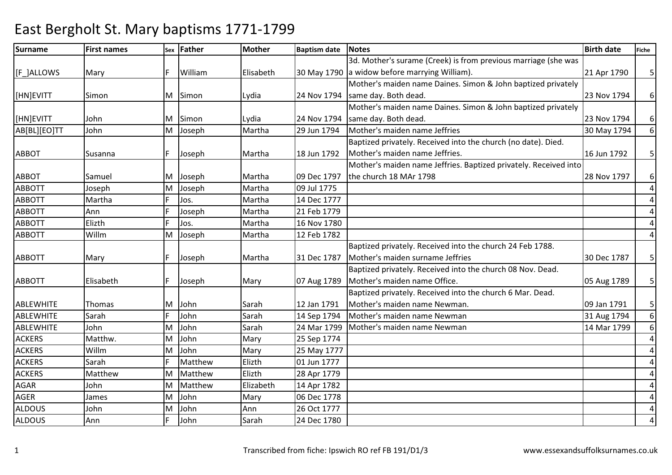### Surnamee First names Sex Father Mother Baptism date Notes Birth date Birth date Fiche [F\_]ALLOWS | Mary |F | William | Elisabeth | 30 May 1790 |a widow before marrying William). 3d. Mother's surame (Creek) is from previous marriage (she was 21 Apr 1790 5 [HN]EVITT Simon M Simon Lydia 24 Nov 1794Mother's maiden name Daines. Simon & John baptized privately same day. Both dead.23 Nov 1794 6 [HN]EVITT John M Simon Lydia 24 Nov 179429 Jun 1794 Mother's maiden name Daines. Simon & John baptized privately same day. Both dead.23 Nov 1794 6 6AB[BL][EO]TT JohnM Joseph Martha 29 Jun 1794 Mother's maiden name Jeffries 30 May 1794 Baptized privately. Received into the church (no date). Died. ABBOT Susanna F Joseph Martha 18 Jun 1792Mother's maiden name Jeffries.16 Jun 1792  $\frac{1}{5}$ ABBOT Samuel M Joseph Martha 109 Dec 1797 Joseph Martha 09 Jul 1775 Mother's maiden name Jeffries. Baptized privately. Received into the church 18 MAr 179828 Nov 1797 6 4ABBOTT JosephMartha M 4ABBOTT Martha <sup>F</sup> Jos. Martha 14 Dec 177721 Feb 1779 4ABBOTT Ann <sup>F</sup> Joseph Martha 21 Feb 1779 4ABBOTT Elizth <sup>F</sup> Jos. Martha 16 Nov 1780 4ABBOTT WillmM Joseph Martha 12 Feb 1782 ABBOTT | Mary | F Joseph | Martha | 31 Dec 1787 Baptized privately. Received into the church 24 Feb 1788. Mother's maiden surname Jeffries30 Dec 1787 | 5 ABBOTT Elisabeth F Joseph Mary 07 Aug 1789Baptized privately. Received into the church 08 Nov. Dead. Mother's maiden name Office.05 Aug 1789 | 5 ABLEWHITE Thomas M John Sarah 12 Jan 1791 14 Sep 1794 Baptized privately. Received into the church 6 Mar. Dead. Mother's maiden name Newman.09 Jan 1791 | 5 6ABLEWHITE SarahF John 14 Sarah 14 Sep 1794 Mother's maiden name Newman 31 Aug 1794<br>Mulohn Sarah 24 Mar 1799 Mother's maiden name Newman 14 Mar 1799 6**ABLEWHITE**  JohnS Matthw. MJohn Sarah 24 Mar 1799 Mother's maiden name Newman<br>John Mary 25 Sep 1774 ACKERSM John Mary 25 Sep 1774 4 4ACKERS WillmS<sub>arah</sub> MM John Mary 25 May 1777<br>F Matthew Elizth 01 Jun 1777 4ACKERS**Matthew** Matthew Elizth 01 Jun 1777<br>Matthew Flizth 28 Apr 1779 4ACKERS MatthewMMatthew Elizth 28 Apr 1779<br>Matthew Elizabeth 14 Apr 1782 4AGAR John MMatthew Elizabeth 14 Apr 1782<br>John Mary 06 Dec 1778 4AGER James MJohn Mary 06 Dec 1778<br>John Ann 26 Oct 1777 4ALDOUS JohnS<sub>Ann</sub> MM John M Ann 26 Oct 1777<br>F John Sarah 24 Dec 1780 4ALDOUS24 Dec 1780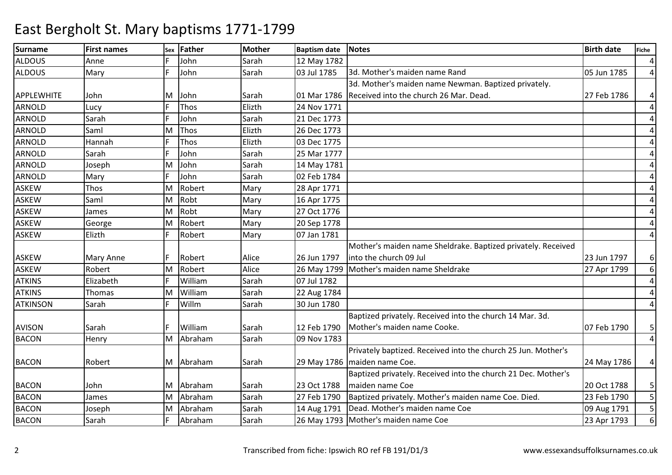| <b>Surname</b>    | <b>First names</b> | Sex | <b>Father</b> | <b>Mother</b> | <b>Baptism date</b> | Notes                                                         | <b>Birth date</b> | <b>Fiche</b>   |
|-------------------|--------------------|-----|---------------|---------------|---------------------|---------------------------------------------------------------|-------------------|----------------|
| <b>ALDOUS</b>     | Anne               |     | John          | Sarah         | 12 May 1782         |                                                               |                   | $\overline{4}$ |
| <b>ALDOUS</b>     | Mary               | F.  | John          | Sarah         | 03 Jul 1785         | 3d. Mother's maiden name Rand                                 | 05 Jun 1785       | $\overline{4}$ |
|                   |                    |     |               |               |                     | 3d. Mother's maiden name Newman. Baptized privately.          |                   |                |
| <b>APPLEWHITE</b> | John               | M   | John          | Sarah         | 01 Mar 1786         | Received into the church 26 Mar. Dead.                        | 27 Feb 1786       | 4              |
| <b>ARNOLD</b>     | Lucy               |     | Thos          | Elizth        | 24 Nov 1771         |                                                               |                   | $\overline{4}$ |
| <b>ARNOLD</b>     | Sarah              |     | John          | Sarah         | 21 Dec 1773         |                                                               |                   | $\overline{4}$ |
| <b>ARNOLD</b>     | Saml               | M   | Thos          | Elizth        | 26 Dec 1773         |                                                               |                   | 4              |
| <b>ARNOLD</b>     | Hannah             |     | Thos          | Elizth        | 03 Dec 1775         |                                                               |                   | $\overline{4}$ |
| <b>ARNOLD</b>     | Sarah              |     | John          | Sarah         | 25 Mar 1777         |                                                               |                   | $\overline{4}$ |
| <b>ARNOLD</b>     | Joseph             | M   | John          | Sarah         | 14 May 1781         |                                                               |                   | $\overline{4}$ |
| <b>ARNOLD</b>     | Mary               |     | John          | Sarah         | 02 Feb 1784         |                                                               |                   | $\overline{4}$ |
| <b>ASKEW</b>      | Thos               | M   | Robert        | Mary          | 28 Apr 1771         |                                                               |                   | $\overline{4}$ |
| <b>ASKEW</b>      | Saml               | м   | Robt          | Mary          | 16 Apr 1775         |                                                               |                   | $\overline{4}$ |
| <b>ASKEW</b>      | James              | M   | Robt          | Mary          | 27 Oct 1776         |                                                               |                   | $\overline{a}$ |
| <b>ASKEW</b>      | George             | M   | Robert        | Mary          | 20 Sep 1778         |                                                               |                   | 4              |
| <b>ASKEW</b>      | Elizth             |     | Robert        | Mary          | 07 Jan 1781         |                                                               |                   | $\overline{4}$ |
|                   |                    |     |               |               |                     | Mother's maiden name Sheldrake. Baptized privately. Received  |                   |                |
| <b>ASKEW</b>      | <b>Mary Anne</b>   |     | Robert        | Alice         | 26 Jun 1797         | linto the church 09 Jul                                       | 23 Jun 1797       | $6 \mid$       |
| <b>ASKEW</b>      | Robert             | M   | Robert        | Alice         |                     | 26 May 1799 Mother's maiden name Sheldrake                    | 27 Apr 1799       | $6 \mid$       |
| <b>ATKINS</b>     | Elizabeth          |     | William       | Sarah         | 07 Jul 1782         |                                                               |                   | $\overline{a}$ |
| <b>ATKINS</b>     | Thomas             | M   | William       | Sarah         | 22 Aug 1784         |                                                               |                   | $\overline{a}$ |
| <b>ATKINSON</b>   | Sarah              |     | Willm         | Sarah         | 30 Jun 1780         |                                                               |                   | $\overline{a}$ |
|                   |                    |     |               |               |                     | Baptized privately. Received into the church 14 Mar. 3d.      |                   |                |
| <b>AVISON</b>     | Sarah              |     | William       | Sarah         | 12 Feb 1790         | Mother's maiden name Cooke.                                   | 07 Feb 1790       | 5 <sup>1</sup> |
| <b>BACON</b>      | Henry              | M   | Abraham       | Sarah         | 09 Nov 1783         |                                                               |                   | $\overline{4}$ |
|                   |                    |     |               |               |                     | Privately baptized. Received into the church 25 Jun. Mother's |                   |                |
| <b>BACON</b>      | Robert             |     | M Abraham     | Sarah         |                     | 29 May 1786   maiden name Coe.                                | 24 May 1786       | $\overline{a}$ |
|                   |                    |     |               |               |                     | Baptized privately. Received into the church 21 Dec. Mother's |                   |                |
| <b>BACON</b>      | John               | M   | Abraham       | Sarah         | 23 Oct 1788         | maiden name Coe                                               | 20 Oct 1788       | 5 <sub>l</sub> |
| <b>BACON</b>      | James              | M   | Abraham       | Sarah         | 27 Feb 1790         | Baptized privately. Mother's maiden name Coe. Died.           | 23 Feb 1790       | 5 <sup>1</sup> |
| <b>BACON</b>      | Joseph             | M   | Abraham       | Sarah         | 14 Aug 1791         | Dead. Mother's maiden name Coe                                | 09 Aug 1791       | 5 <sup>1</sup> |
| <b>BACON</b>      | Sarah              |     | Abraham       | Sarah         |                     | 26 May 1793 Mother's maiden name Coe                          | 23 Apr 1793       | 6 <sup>1</sup> |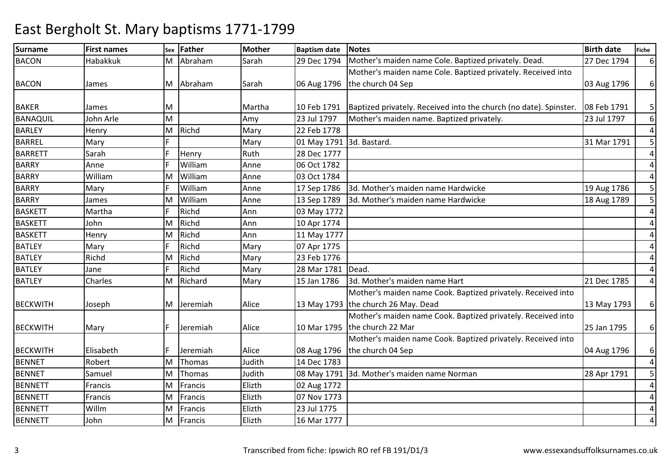| <b>Surname</b>  | <b>First names</b> | Sex | <b>Father</b> | Mother | <b>Baptism date</b> | <b>Notes</b>                                                      | <b>Birth date</b> | Fiche          |
|-----------------|--------------------|-----|---------------|--------|---------------------|-------------------------------------------------------------------|-------------------|----------------|
| <b>BACON</b>    | Habakkuk           | M   | Abraham       | Sarah  | 29 Dec 1794         | Mother's maiden name Cole. Baptized privately. Dead.              | 27 Dec 1794       | $6 \mid$       |
|                 |                    |     |               |        |                     | Mother's maiden name Cole. Baptized privately. Received into      |                   |                |
| <b>BACON</b>    | James              |     | M Abraham     | Sarah  | 06 Aug 1796         | the church 04 Sep                                                 | 03 Aug 1796       | $6 \mid$       |
|                 |                    |     |               |        |                     |                                                                   |                   |                |
| <b>BAKER</b>    | James              | M   |               | Martha | 10 Feb 1791         | Baptized privately. Received into the church (no date). Spinster. | 08 Feb 1791       | 5 <sub>l</sub> |
| BANAQUIL        | John Arle          | M   |               | Amy    | 23 Jul 1797         | Mother's maiden name. Baptized privately.                         | 23 Jul 1797       | $6 \mid$       |
| <b>BARLEY</b>   | Henry              | M   | Richd         | Mary   | 22 Feb 1778         |                                                                   |                   | $\overline{4}$ |
| <b>BARREL</b>   | Mary               |     |               | Mary   | 01 May 1791         | 3d. Bastard.                                                      | 31 Mar 1791       | 5              |
| <b>BARRETT</b>  | Sarah              |     | Henry         | Ruth   | 28 Dec 1777         |                                                                   |                   | $\overline{a}$ |
| <b>BARRY</b>    | Anne               |     | William       | Anne   | 06 Oct 1782         |                                                                   |                   | $\overline{4}$ |
| <b>BARRY</b>    | William            | М   | William       | Anne   | 03 Oct 1784         |                                                                   |                   | $\overline{4}$ |
| <b>BARRY</b>    | Mary               |     | William       | Anne   | 17 Sep 1786         | 3d. Mother's maiden name Hardwicke                                | 19 Aug 1786       | 5 <sub>l</sub> |
| <b>BARRY</b>    | James              | м   | William       | Anne   | 13 Sep 1789         | 3d. Mother's maiden name Hardwicke                                | 18 Aug 1789       | 5              |
| <b>BASKETT</b>  | Martha             |     | Richd         | Ann    | 03 May 1772         |                                                                   |                   | $\overline{4}$ |
| <b>BASKETT</b>  | John               | M   | Richd         | Ann    | 10 Apr 1774         |                                                                   |                   | $\overline{4}$ |
| <b>BASKETT</b>  | Henry              | M   | Richd         | Ann    | 11 May 1777         |                                                                   |                   | 4              |
| <b>BATLEY</b>   | Mary               |     | Richd         | Mary   | 07 Apr 1775         |                                                                   |                   | 4              |
| <b>BATLEY</b>   | Richd              | м   | Richd         | Mary   | 23 Feb 1776         |                                                                   |                   | 4              |
| <b>BATLEY</b>   | Jane               |     | Richd         | Mary   | 28 Mar 1781         | Dead.                                                             |                   | 4              |
| <b>BATLEY</b>   | Charles            | M   | Richard       | Mary   | 15 Jan 1786         | 3d. Mother's maiden name Hart                                     | 21 Dec 1785       | 4              |
|                 |                    |     |               |        |                     | Mother's maiden name Cook. Baptized privately. Received into      |                   |                |
| <b>BECKWITH</b> | Joseph             |     | M Jeremiah    | Alice  |                     | 13 May 1793 the church 26 May. Dead                               | 13 May 1793       | $6 \mid$       |
|                 |                    |     |               |        |                     | Mother's maiden name Cook. Baptized privately. Received into      |                   |                |
| <b>BECKWITH</b> | Mary               |     | Jeremiah      | Alice  | 10 Mar 1795         | the church 22 Mar                                                 | 25 Jan 1795       | $6 \mid$       |
|                 |                    |     |               |        |                     | Mother's maiden name Cook. Baptized privately. Received into      |                   |                |
| <b>BECKWITH</b> | Elisabeth          |     | Jeremiah      | Alice  | 08 Aug 1796         | the church 04 Sep                                                 | 04 Aug 1796       | $6 \mid$       |
| <b>BENNET</b>   | Robert             | M   | Thomas        | Judith | 14 Dec 1783         |                                                                   |                   | $\overline{4}$ |
| <b>BENNET</b>   | Samuel             | м   | Thomas        | Judith | 08 May 1791         | 3d. Mother's maiden name Norman                                   | 28 Apr 1791       | 5 <sub>l</sub> |
| <b>BENNETT</b>  | Francis            | м   | Francis       | Elizth | 02 Aug 1772         |                                                                   |                   | $\overline{4}$ |
| <b>BENNETT</b>  | Francis            | M   | Francis       | Elizth | 07 Nov 1773         |                                                                   |                   | $\overline{a}$ |
| <b>BENNETT</b>  | Willm              | M   | Francis       | Elizth | 23 Jul 1775         |                                                                   |                   | $\overline{4}$ |
| <b>BENNETT</b>  | John               | M   | Francis       | Elizth | 16 Mar 1777         |                                                                   |                   | $\overline{4}$ |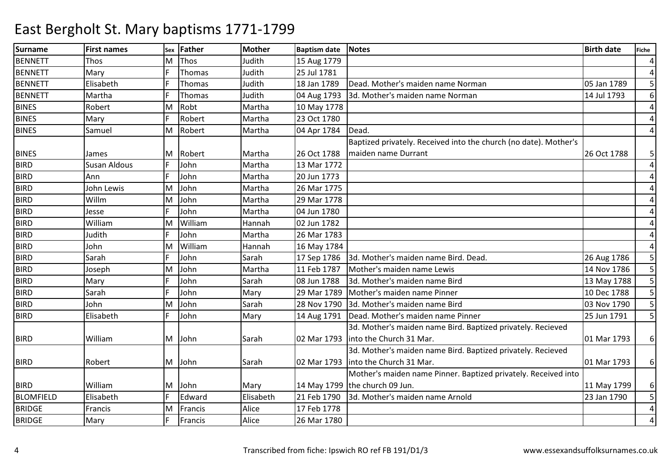| <b>Surname</b>   | <b>First names</b>  | Sex | <b>Father</b> | <b>Mother</b> | <b>Baptism date</b> | <b>Notes</b>                                                     | <b>Birth date</b> | <b>Fiche</b>   |
|------------------|---------------------|-----|---------------|---------------|---------------------|------------------------------------------------------------------|-------------------|----------------|
| <b>BENNETT</b>   | Thos                | M   | Thos          | Judith        | 15 Aug 1779         |                                                                  |                   | $\overline{a}$ |
| <b>BENNETT</b>   | Mary                |     | Thomas        | Judith        | 25 Jul 1781         |                                                                  |                   | $\overline{a}$ |
| <b>BENNETT</b>   | Elisabeth           |     | Thomas        | Judith        | 18 Jan 1789         | Dead. Mother's maiden name Norman                                | 05 Jan 1789       | 5 <sub>l</sub> |
| <b>BENNETT</b>   | Martha              |     | Thomas        | Judith        | 04 Aug 1793         | 3d. Mother's maiden name Norman                                  | 14 Jul 1793       | 6 <sup>1</sup> |
| <b>BINES</b>     | Robert              | м   | Robt          | Martha        | 10 May 1778         |                                                                  |                   | $\overline{a}$ |
| <b>BINES</b>     | Mary                |     | Robert        | Martha        | 23 Oct 1780         |                                                                  |                   | $\overline{4}$ |
| <b>BINES</b>     | Samuel              | M   | Robert        | Martha        | 04 Apr 1784         | Dead.                                                            |                   | $\overline{4}$ |
|                  |                     |     |               |               |                     | Baptized privately. Received into the church (no date). Mother's |                   |                |
| <b>BINES</b>     | James               |     | M Robert      | Martha        | 26 Oct 1788         | maiden name Durrant                                              | 26 Oct 1788       | 5              |
| <b>BIRD</b>      | <b>Susan Aldous</b> |     | John          | Martha        | 13 Mar 1772         |                                                                  |                   | $\overline{4}$ |
| <b>BIRD</b>      | Ann                 |     | John          | Martha        | 20 Jun 1773         |                                                                  |                   | 4              |
| <b>BIRD</b>      | John Lewis          | M   | John          | Martha        | 26 Mar 1775         |                                                                  |                   | 4              |
| <b>BIRD</b>      | Willm               | M   | John          | Martha        | 29 Mar 1778         |                                                                  |                   | 4              |
| <b>BIRD</b>      | Jesse               |     | John          | Martha        | 04 Jun 1780         |                                                                  |                   | 4              |
| <b>BIRD</b>      | William             | M   | William       | Hannah        | 02 Jun 1782         |                                                                  |                   | 4              |
| <b>BIRD</b>      | Judith              |     | John          | Martha        | 26 Mar 1783         |                                                                  |                   | 4              |
| <b>BIRD</b>      | John                | M   | William       | Hannah        | 16 May 1784         |                                                                  |                   | $\overline{4}$ |
| <b>BIRD</b>      | Sarah               |     | John          | Sarah         | 17 Sep 1786         | 3d. Mother's maiden name Bird. Dead.                             | 26 Aug 1786       | 5              |
| <b>BIRD</b>      | Joseph              | M   | John          | Martha        | 11 Feb 1787         | Mother's maiden name Lewis                                       | 14 Nov 1786       | 5 <sub>l</sub> |
| <b>BIRD</b>      | Mary                |     | John          | Sarah         | 08 Jun 1788         | 3d. Mother's maiden name Bird                                    | 13 May 1788       | 5 <sup>1</sup> |
| <b>BIRD</b>      | Sarah               |     | John          | Mary          | 29 Mar 1789         | Mother's maiden name Pinner                                      | 10 Dec 1788       | 5 <sup>1</sup> |
| <b>BIRD</b>      | John                | M   | John          | Sarah         | 28 Nov 1790         | 3d. Mother's maiden name Bird                                    | 03 Nov 1790       | 5 <sup>1</sup> |
| <b>BIRD</b>      | Elisabeth           |     | John          | Mary          | 14 Aug 1791         | Dead. Mother's maiden name Pinner                                | 25 Jun 1791       | 5 <sup>1</sup> |
|                  |                     |     |               |               |                     | 3d. Mother's maiden name Bird. Baptized privately. Recieved      |                   |                |
| <b>BIRD</b>      | William             | M   | John          | Sarah         | 02 Mar 1793         | into the Church 31 Mar.                                          | 01 Mar 1793       | $6 \mid$       |
|                  |                     |     |               |               |                     | 3d. Mother's maiden name Bird. Baptized privately. Recieved      |                   |                |
| <b>BIRD</b>      | Robert              | M   | John          | Sarah         | 02 Mar 1793         | into the Church 31 Mar.                                          | 01 Mar 1793       | $6 \mid$       |
|                  |                     |     |               |               |                     | Mother's maiden name Pinner. Baptized privately. Received into   |                   |                |
| <b>BIRD</b>      | William             | M   | John          | Mary          |                     | 14 May 1799 the church 09 Jun.                                   | 11 May 1799       | $6 \mid$       |
| <b>BLOMFIELD</b> | Elisabeth           |     | Edward        | Elisabeth     | 21 Feb 1790         | 3d. Mother's maiden name Arnold                                  | 23 Jan 1790       | 5 <sup>1</sup> |
| <b>BRIDGE</b>    | Francis             | M   | Francis       | Alice         | 17 Feb 1778         |                                                                  |                   | $\overline{4}$ |
| <b>BRIDGE</b>    | Mary                |     | Francis       | Alice         | 26 Mar 1780         |                                                                  |                   | $\overline{4}$ |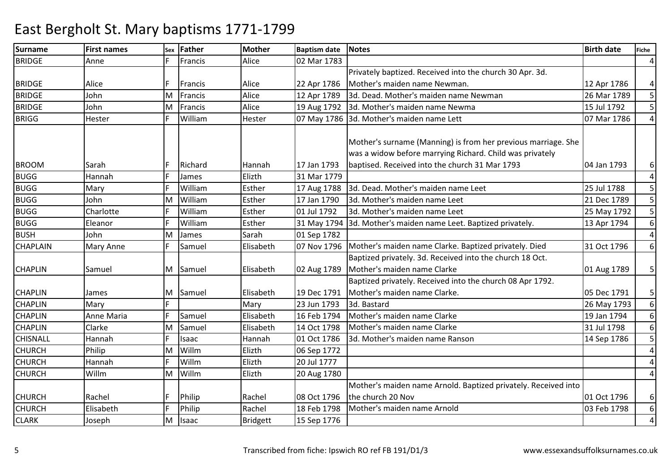| <b>Surname</b>  | <b>First names</b> | Sex | Father   | Mother          | <b>Baptism date</b> | <b>Notes</b>                                                   | <b>Birth date</b> | <b>Fiche</b>   |
|-----------------|--------------------|-----|----------|-----------------|---------------------|----------------------------------------------------------------|-------------------|----------------|
| <b>BRIDGE</b>   | Anne               |     | Francis  | Alice           | 02 Mar 1783         |                                                                |                   | $\overline{4}$ |
|                 |                    |     |          |                 |                     | Privately baptized. Received into the church 30 Apr. 3d.       |                   |                |
| <b>BRIDGE</b>   | Alice              |     | Francis  | Alice           | 22 Apr 1786         | Mother's maiden name Newman.                                   | 12 Apr 1786       | $\overline{a}$ |
| <b>BRIDGE</b>   | John               | M   | Francis  | Alice           | 12 Apr 1789         | 3d. Dead. Mother's maiden name Newman                          | 26 Mar 1789       | 5 <sup>1</sup> |
| <b>BRIDGE</b>   | John               | M   | Francis  | Alice           | 19 Aug 1792         | 3d. Mother's maiden name Newma                                 | 15 Jul 1792       | 5 <sup>1</sup> |
| <b>BRIGG</b>    | Hester             |     | William  | Hester          |                     | 07 May 1786 3d. Mother's maiden name Lett                      | 07 Mar 1786       | $\overline{4}$ |
|                 |                    |     |          |                 |                     |                                                                |                   |                |
|                 |                    |     |          |                 |                     | Mother's surname (Manning) is from her previous marriage. She  |                   |                |
|                 |                    |     |          |                 |                     | was a widow before marrying Richard. Child was privately       |                   |                |
| <b>BROOM</b>    | Sarah              |     | Richard  | Hannah          | 17 Jan 1793         | baptised. Received into the church 31 Mar 1793                 | 04 Jan 1793       | $6 \mid$       |
| <b>BUGG</b>     | Hannah             |     | James    | Elizth          | 31 Mar 1779         |                                                                |                   | $\overline{4}$ |
| <b>BUGG</b>     | Mary               |     | William  | Esther          | 17 Aug 1788         | 3d. Dead. Mother's maiden name Leet                            | 25 Jul 1788       | 5 <sub>l</sub> |
| <b>BUGG</b>     | John               | м   | William  | Esther          | 17 Jan 1790         | 3d. Mother's maiden name Leet                                  | 21 Dec 1789       | 5 <sup>1</sup> |
| <b>BUGG</b>     | Charlotte          |     | William  | Esther          | 01 Jul 1792         | 3d. Mother's maiden name Leet                                  | 25 May 1792       | 5 <sup>1</sup> |
| <b>BUGG</b>     | Eleanor            |     | William  | Esther          | 31 May 1794         | 3d. Mother's maiden name Leet. Baptized privately.             | 13 Apr 1794       | 6 <sup>1</sup> |
| <b>BUSH</b>     | John               | M   | James    | Sarah           | 01 Sep 1782         |                                                                |                   | $\overline{4}$ |
| <b>CHAPLAIN</b> | Mary Anne          |     | Samuel   | Elisabeth       | 07 Nov 1796         | Mother's maiden name Clarke. Baptized privately. Died          | 31 Oct 1796       | $6 \mid$       |
|                 |                    |     |          |                 |                     | Baptized privately. 3d. Received into the church 18 Oct.       |                   |                |
| <b>CHAPLIN</b>  | Samuel             |     | M Samuel | Elisabeth       | 02 Aug 1789         | Mother's maiden name Clarke                                    | 01 Aug 1789       | 5 <sup>1</sup> |
|                 |                    |     |          |                 |                     | Baptized privately. Received into the church 08 Apr 1792.      |                   |                |
| <b>CHAPLIN</b>  | James              | M   | Samuel   | Elisabeth       | 19 Dec 1791         | Mother's maiden name Clarke.                                   | 05 Dec 1791       | 5 <sup>1</sup> |
| <b>CHAPLIN</b>  | Mary               |     |          | Mary            | 23 Jun 1793         | 3d. Bastard                                                    | 26 May 1793       | 6 <sup>1</sup> |
| <b>CHAPLIN</b>  | Anne Maria         |     | Samuel   | Elisabeth       | 16 Feb 1794         | Mother's maiden name Clarke                                    | 19 Jan 1794       | 6 <sup>1</sup> |
| <b>CHAPLIN</b>  | Clarke             | M   | Samuel   | Elisabeth       | 14 Oct 1798         | Mother's maiden name Clarke                                    | 31 Jul 1798       | $6 \mid$       |
| <b>CHISNALL</b> | Hannah             |     | Isaac    | Hannah          | 01 Oct 1786         | 3d. Mother's maiden name Ranson                                | 14 Sep 1786       | 5              |
| <b>CHURCH</b>   | Philip             | M   | Willm    | Elizth          | 06 Sep 1772         |                                                                |                   | $\overline{a}$ |
| <b>CHURCH</b>   | Hannah             |     | Willm    | Elizth          | 20 Jul 1777         |                                                                |                   | $\overline{a}$ |
| <b>CHURCH</b>   | Willm              | M   | Willm    | Elizth          | 20 Aug 1780         |                                                                |                   | $\overline{4}$ |
|                 |                    |     |          |                 |                     | Mother's maiden name Arnold. Baptized privately. Received into |                   |                |
| <b>CHURCH</b>   | Rachel             |     | Philip   | Rachel          | 08 Oct 1796         | the church 20 Nov                                              | 01 Oct 1796       | $6 \mid$       |
| <b>CHURCH</b>   | Elisabeth          |     | Philip   | Rachel          | 18 Feb 1798         | Mother's maiden name Arnold                                    | 03 Feb 1798       | 6 <sup>1</sup> |
| <b>CLARK</b>    | Joseph             | M   | Isaac    | <b>Bridgett</b> | 15 Sep 1776         |                                                                |                   | $\overline{4}$ |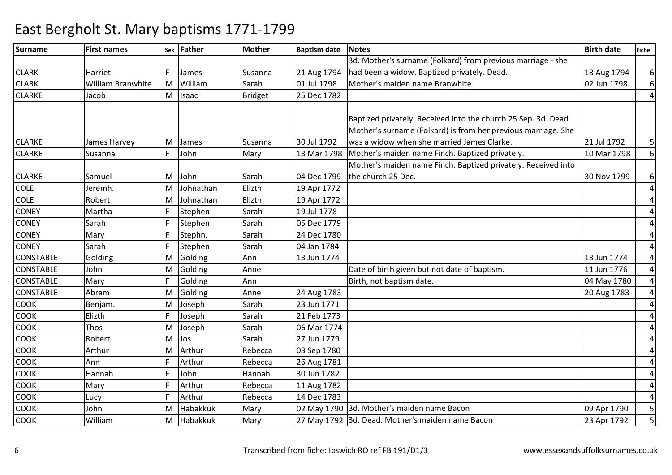| <b>Surname</b>   | <b>First names</b> | Sex | Father       | <b>Mother</b>  | <b>Baptism date</b> | <b>Notes</b>                                                   | <b>Birth date</b> | <b>Fiche</b>   |
|------------------|--------------------|-----|--------------|----------------|---------------------|----------------------------------------------------------------|-------------------|----------------|
|                  |                    |     |              |                |                     | 3d. Mother's surname (Folkard) from previous marriage - she    |                   |                |
| <b>CLARK</b>     | Harriet            |     | James        | Susanna        | 21 Aug 1794         | had been a widow. Baptized privately. Dead.                    | 18 Aug 1794       | $6 \mid$       |
| <b>CLARK</b>     | William Branwhite  | M   | William      | Sarah          | 01 Jul 1798         | Mother's maiden name Branwhite                                 | 02 Jun 1798       | 6              |
| <b>CLARKE</b>    | Jacob              | M   | Isaac        | <b>Bridget</b> | 25 Dec 1782         |                                                                |                   | 4              |
|                  |                    |     |              |                |                     |                                                                |                   |                |
|                  |                    |     |              |                |                     | Baptized privately. Received into the church 25 Sep. 3d. Dead. |                   |                |
|                  |                    |     |              |                |                     | Mother's surname (Folkard) is from her previous marriage. She  |                   |                |
| <b>CLARKE</b>    | James Harvey       | M   | <b>James</b> | Susanna        | 30 Jul 1792         | was a widow when she married James Clarke.                     | 21 Jul 1792       | 5 <sub>l</sub> |
| <b>CLARKE</b>    | Susanna            |     | John         | Mary           | 13 Mar 1798         | Mother's maiden name Finch. Baptized privately.                | 10 Mar 1798       | $6 \mid$       |
|                  |                    |     |              |                |                     | Mother's maiden name Finch. Baptized privately. Received into  |                   |                |
| <b>CLARKE</b>    | Samuel             | M   | John         | Sarah          | 04 Dec 1799         | the church 25 Dec.                                             | 30 Nov 1799       | $6 \mid$       |
| <b>COLE</b>      | Jeremh.            | M   | Johnathan    | Elizth         | 19 Apr 1772         |                                                                |                   | $\overline{4}$ |
| <b>COLE</b>      | Robert             | м   | Johnathan    | Elizth         | 19 Apr 1772         |                                                                |                   | $\overline{4}$ |
| <b>CONEY</b>     | Martha             |     | Stephen      | Sarah          | 19 Jul 1778         |                                                                |                   | $\sqrt{4}$     |
| <b>CONEY</b>     | Sarah              |     | Stephen      | Sarah          | 05 Dec 1779         |                                                                |                   | $\overline{4}$ |
| <b>CONEY</b>     | Mary               |     | Stephn.      | Sarah          | 24 Dec 1780         |                                                                |                   | $\overline{4}$ |
| <b>CONEY</b>     | Sarah              |     | Stephen      | Sarah          | 04 Jan 1784         |                                                                |                   | 4              |
| <b>CONSTABLE</b> | Golding            | M   | Golding      | Ann            | 13 Jun 1774         |                                                                | 13 Jun 1774       | $\overline{4}$ |
| <b>CONSTABLE</b> | John               | M   | Golding      | Anne           |                     | Date of birth given but not date of baptism.                   | 11 Jun 1776       | $\overline{a}$ |
| <b>CONSTABLE</b> | Mary               |     | Golding      | Ann            |                     | Birth, not baptism date.                                       | 04 May 1780       | $\overline{4}$ |
| <b>CONSTABLE</b> | Abram              | M   | Golding      | Anne           | 24 Aug 1783         |                                                                | 20 Aug 1783       | 4              |
| COOK             | Benjam.            | M   | Joseph       | Sarah          | 23 Jun 1771         |                                                                |                   | $\overline{4}$ |
| COOK             | Elizth             | F.  | Joseph       | Sarah          | 21 Feb 1773         |                                                                |                   | 4              |
| <b>COOK</b>      | Thos               | M   | Joseph       | Sarah          | 06 Mar 1774         |                                                                |                   | 4              |
| COOK             | Robert             | M   | Jos.         | Sarah          | 27 Jun 1779         |                                                                |                   | $\overline{4}$ |
| COOK             | Arthur             | M   | Arthur       | Rebecca        | 03 Sep 1780         |                                                                |                   | $\overline{4}$ |
| COOK             | Ann                |     | Arthur       | Rebecca        | 26 Aug 1781         |                                                                |                   | $\overline{4}$ |
| COOK             | Hannah             |     | John         | Hannah         | 30 Jun 1782         |                                                                |                   | 4              |
| COOK             | Mary               |     | Arthur       | Rebecca        | 11 Aug 1782         |                                                                |                   | 4              |
| COOK             | Lucy               |     | Arthur       | Rebecca        | 14 Dec 1783         |                                                                |                   | $\overline{4}$ |
| <b>COOK</b>      | John               | M   | Habakkuk     | Mary           |                     | 02 May 1790 3d. Mother's maiden name Bacon                     | 09 Apr 1790       | 5 <sup>1</sup> |
| <b>COOK</b>      | William            | M   | Habakkuk     | Mary           |                     | 27 May 1792 3d. Dead. Mother's maiden name Bacon               | 23 Apr 1792       | 5              |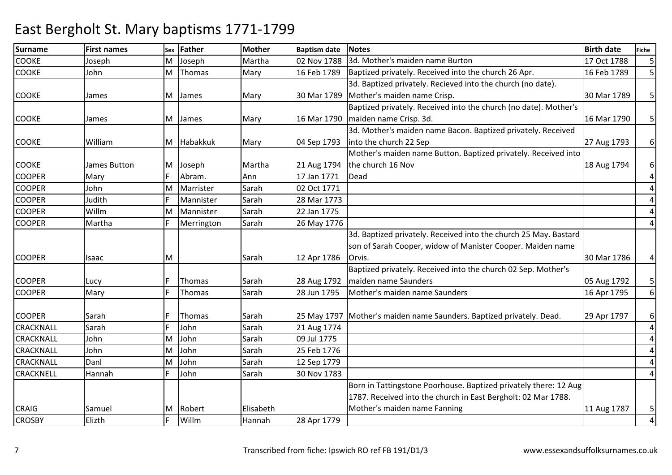| <b>Surname</b>   | <b>First names</b> | Sex | <b>Father</b> | <b>Mother</b> | <b>Baptism date</b> | <b>Notes</b>                                                         | <b>Birth date</b> | Fiche          |
|------------------|--------------------|-----|---------------|---------------|---------------------|----------------------------------------------------------------------|-------------------|----------------|
| <b>COOKE</b>     | Joseph             | M   | Joseph        | Martha        | 02 Nov 1788         | 3d. Mother's maiden name Burton                                      | 17 Oct 1788       | 5 <sub>l</sub> |
| <b>COOKE</b>     | John               | M   | Thomas        | Mary          | 16 Feb 1789         | Baptized privately. Received into the church 26 Apr.                 | 16 Feb 1789       | 5 <sup>1</sup> |
|                  |                    |     |               |               |                     | 3d. Baptized privately. Recieved into the church (no date).          |                   |                |
| <b>COOKE</b>     | James              | M   | James         | Mary          | 30 Mar 1789         | Mother's maiden name Crisp.                                          | 30 Mar 1789       | 5 <sup>1</sup> |
|                  |                    |     |               |               |                     | Baptized privately. Received into the church (no date). Mother's     |                   |                |
| <b>COOKE</b>     | James              | M   | James         | Mary          | 16 Mar 1790         | maiden name Crisp. 3d.                                               | 16 Mar 1790       | 5 <sup>1</sup> |
|                  |                    |     |               |               |                     | 3d. Mother's maiden name Bacon. Baptized privately. Received         |                   |                |
| <b>COOKE</b>     | William            |     | M Habakkuk    | Mary          | 04 Sep 1793         | into the church 22 Sep                                               | 27 Aug 1793       | $6 \mid$       |
|                  |                    |     |               |               |                     | Mother's maiden name Button. Baptized privately. Received into       |                   |                |
| <b>COOKE</b>     | James Button       | M   | Joseph        | Martha        | 21 Aug 1794         | the church 16 Nov                                                    | 18 Aug 1794       | $6 \mid$       |
| <b>COOPER</b>    | Mary               |     | Abram.        | Ann           | 17 Jan 1771         | Dead                                                                 |                   | $\overline{4}$ |
| <b>COOPER</b>    | John               | M   | Marrister     | Sarah         | 02 Oct 1771         |                                                                      |                   | $\overline{a}$ |
| <b>COOPER</b>    | Judith             |     | Mannister     | Sarah         | 28 Mar 1773         |                                                                      |                   | $\overline{a}$ |
| <b>COOPER</b>    | Willm              | M   | Mannister     | Sarah         | 22 Jan 1775         |                                                                      |                   | $\overline{4}$ |
| <b>COOPER</b>    | Martha             |     | Merrington    | Sarah         | 26 May 1776         |                                                                      |                   | 4              |
|                  |                    |     |               |               |                     | 3d. Baptized privately. Received into the church 25 May. Bastard     |                   |                |
|                  |                    |     |               |               |                     | son of Sarah Cooper, widow of Manister Cooper. Maiden name           |                   |                |
| <b>COOPER</b>    | Isaac              | M   |               | Sarah         | 12 Apr 1786         | Orvis.                                                               | 30 Mar 1786       | $\overline{a}$ |
|                  |                    |     |               |               |                     | Baptized privately. Received into the church 02 Sep. Mother's        |                   |                |
| <b>COOPER</b>    | Lucy               |     | Thomas        | Sarah         | 28 Aug 1792         | maiden name Saunders                                                 | 05 Aug 1792       | 5 <sup>1</sup> |
| <b>COOPER</b>    | Mary               |     | Thomas        | Sarah         | 28 Jun 1795         | Mother's maiden name Saunders                                        | 16 Apr 1795       | $6 \mid$       |
|                  |                    |     |               |               |                     |                                                                      |                   |                |
| <b>COOPER</b>    | Sarah              |     | Thomas        | Sarah         |                     | 25 May 1797 Mother's maiden name Saunders. Baptized privately. Dead. | 29 Apr 1797       | $6 \mid$       |
| CRACKNALL        | Sarah              |     | John          | Sarah         | 21 Aug 1774         |                                                                      |                   | $\overline{a}$ |
| <b>CRACKNALL</b> | John               | M   | John          | Sarah         | 09 Jul 1775         |                                                                      |                   | $\overline{a}$ |
| <b>CRACKNALL</b> | John               | M   | John          | Sarah         | 25 Feb 1776         |                                                                      |                   | $\sqrt{4}$     |
| <b>CRACKNALL</b> | Danl               | M   | John          | Sarah         | 12 Sep 1779         |                                                                      |                   | $\overline{4}$ |
| <b>CRACKNELL</b> | Hannah             |     | John          | Sarah         | 30 Nov 1783         |                                                                      |                   | 4              |
|                  |                    |     |               |               |                     | Born in Tattingstone Poorhouse. Baptized privately there: 12 Aug     |                   |                |
|                  |                    |     |               |               |                     | 1787. Received into the church in East Bergholt: 02 Mar 1788.        |                   |                |
| <b>CRAIG</b>     | Samuel             | M   | Robert        | Elisabeth     |                     | Mother's maiden name Fanning                                         | 11 Aug 1787       | 5 <sub>l</sub> |
| <b>CROSBY</b>    | Elizth             |     | Willm         | Hannah        | 28 Apr 1779         |                                                                      |                   | $\overline{4}$ |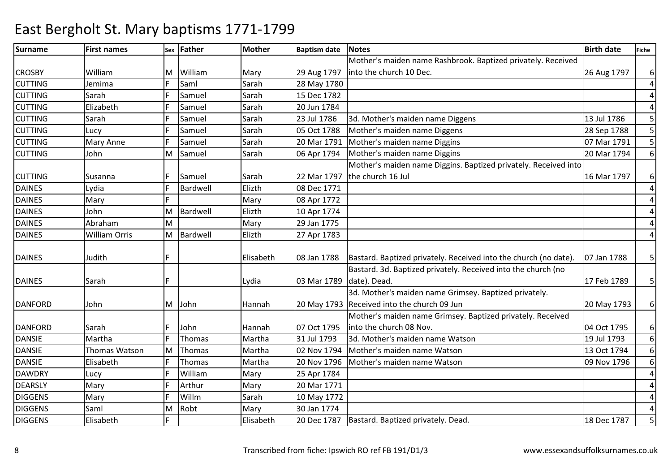### Surnamee First names Sex Father Mother Baptism date Notes Birth date Birth date Fiche CROSBY William M William Mary 29 Aug 179728 May 1780 Mother's maiden name Rashbrook. Baptized privately. Received into the church 10 Dec.26 Aug 1797 | 6 4CUTTINGG Jemima F Saml Sarah 28 May 1780 4CUTTINGG Sarah F Samuel Sarah 15 Dec 1782 4CUTTING Elizabeth <sup>F</sup> Samuel Sarah 20 Jun 1784 5 **CUTTING** Sarah 13 Jul 1786 Samuel Sarah 23 Jul 1786 3d. Mother's maiden name Diggens 13 Jul 1786 5<br>13 Jul 1786 5 July 1788 5 Sarah 105 Oct 1788 Mother's maiden name Diggens CUTTING Lucy <sup>F</sup> Samuel Sarah 05 Oct 1788 Mother's maiden name Diggens 28 Sep 1788 <sup>5</sup> CUTTING Mary Anne <sup>F</sup> Samuel Sarah 20 Mar 1791 Mother's maiden name Diggins 07 Mar 1791 <sup>5</sup> CUTTING John M Samuel Sarah 06 Apr 1794 Mother's maiden name Diggins 20 Mar 1794 Mother's maiden name Diggins. Baptized privately. Received into 6CUTTING Susanna F Samuel Sarah 22 Mar 1797 08 Dec 1771 the church 16 Jul16 Mar 1797 6 4DAINESLydia<br>Mary F Bardwell Elizth<br>F Mary 4DAINESS Mary F Mary 1772 M Bardwell Elizth 10 Apr 1774 4DAINES JohnS Abraham M 4DAINES William Orris MMary 29 Jan 1775<br>Bardwell Elizth 27 Apr 1783 4DAINESM27 Apr 1783 DAINES Judith F Elisabeth 08 Jan 1788Bastard. Baptized privately. Received into the church (no date).  $\vert$  07 Jan 1788  $\vert$  5 DAINES Sarah F Lydia 03 Mar 1789Bastard. 3d. Baptized privately. Received into the church (no date). Dead.17 Feb 1789 | 5 DANFORD John M John Hannah 20 May 1793Received into the church 09 Jun3d. Mother's maiden name Grimsey. Baptized privately. 20 May 1793 6 DANFORD Sarah F John Hannah 07 Oct 179531 Jul 1793 Mother's maiden name Grimsey. Baptized privately. Received into the church 08 Nov.04 Oct 1795 6 6DANSIE Martha <sup>F</sup> Thomas Martha 31 Jul 179331 Jul 1793 3d. Mother's maiden name Watson 19 Jul 1793 19 Jul 1793<br>02 Nov 1794 Mother's maiden name Watson 13 Oct 1794 6DANSIE Thomas WatsonMM Thomas 102 Nov 1794 Mother's maiden name Watson 13 Oct 1794<br>F Thomas Martha 20 Nov 1796 Mother's maiden name Watson 1996 1796 6DANSIE ElisabethF Thomas Martha 20 Nov 1796 Mother's maiden name Watson<br>F William Mary 25 Apr 1784 4DAWDRYY Lucy F William William Mary 25 Apr 1784<br>Arthur Mary 20 Mar 1771 4DEARSLYY Mary F Arthur Mary 20 Mar 1771 m Sarah 10 May 1772 4DIGGENSS Mary F Willm 4DIGGENS Saml MM Robt Mary 30 Jan 1774<br>F Elisabeth 20 Dec 1787 5 DIGGENS Elisabeth**F** Elisabeth 20 Dec 1787 Bastard. Bastard. Baptized privately. Dead. 18 Dec 1787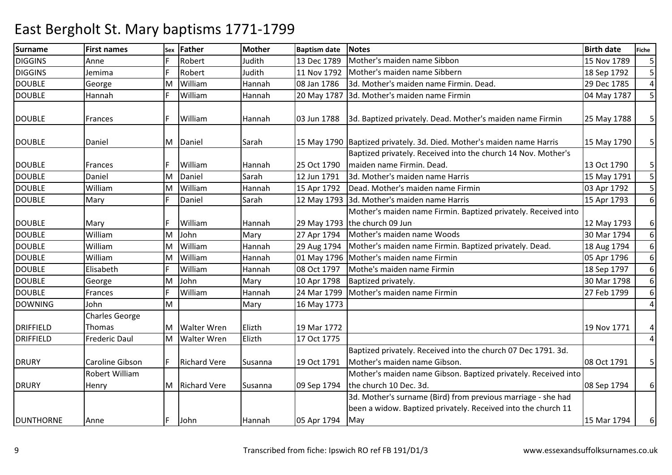| <b>Surname</b>   | <b>First names</b>    | Sex | <b>Father</b>       | Mother  | <b>Baptism date</b> | <b>Notes</b>                                                          | <b>Birth date</b> | <b>Fiche</b>    |
|------------------|-----------------------|-----|---------------------|---------|---------------------|-----------------------------------------------------------------------|-------------------|-----------------|
| <b>DIGGINS</b>   | Anne                  |     | Robert              | Judith  | 13 Dec 1789         | Mother's maiden name Sibbon                                           | 15 Nov 1789       | $5 \frac{1}{2}$ |
| <b>DIGGINS</b>   | Jemima                |     | Robert              | Judith  | 11 Nov 1792         | Mother's maiden name Sibbern                                          | 18 Sep 1792       | 5 <sup>1</sup>  |
| <b>DOUBLE</b>    | George                | M   | William             | Hannah  | 08 Jan 1786         | 3d. Mother's maiden name Firmin. Dead.                                | 29 Dec 1785       | $\overline{4}$  |
| <b>DOUBLE</b>    | Hannah                |     | William             | Hannah  | 20 May 1787         | 3d. Mother's maiden name Firmin                                       | 04 May 1787       | 5 <sup>1</sup>  |
|                  |                       |     |                     |         |                     |                                                                       |                   |                 |
| <b>DOUBLE</b>    | Frances               |     | William             | Hannah  | 03 Jun 1788         | 3d. Baptized privately. Dead. Mother's maiden name Firmin             | 25 May 1788       | $\overline{5}$  |
|                  |                       |     |                     |         |                     |                                                                       |                   |                 |
| <b>DOUBLE</b>    | Daniel                | M   | Daniel              | Sarah   |                     | 15 May 1790 Baptized privately. 3d. Died. Mother's maiden name Harris | 15 May 1790       | 5 <sup>1</sup>  |
|                  |                       |     |                     |         |                     | Baptized privately. Received into the church 14 Nov. Mother's         |                   |                 |
| <b>DOUBLE</b>    | Frances               |     | William             | Hannah  | 25 Oct 1790         | maiden name Firmin. Dead.                                             | 13 Oct 1790       | 5 <sup>1</sup>  |
| <b>DOUBLE</b>    | Daniel                | м   | Daniel              | Sarah   | 12 Jun 1791         | 3d. Mother's maiden name Harris                                       | 15 May 1791       | 5 <sup>1</sup>  |
| <b>DOUBLE</b>    | William               | м   | William             | Hannah  | 15 Apr 1792         | Dead. Mother's maiden name Firmin                                     | 03 Apr 1792       | 5               |
| <b>DOUBLE</b>    | Mary                  |     | Daniel              | Sarah   |                     | 12 May 1793 3d. Mother's maiden name Harris                           | 15 Apr 1793       | $6 \mid$        |
|                  |                       |     |                     |         |                     | Mother's maiden name Firmin. Baptized privately. Received into        |                   |                 |
| <b>DOUBLE</b>    | Mary                  |     | William             | Hannah  |                     | 29 May 1793 the church 09 Jun                                         | 12 May 1793       | $6 \mid$        |
| <b>DOUBLE</b>    | William               | M   | John                | Mary    | 27 Apr 1794         | Mother's maiden name Woods                                            | 30 Mar 1794       | $6 \mid$        |
| <b>DOUBLE</b>    | William               | M   | William             | Hannah  | 29 Aug 1794         | Mother's maiden name Firmin. Baptized privately. Dead.                | 18 Aug 1794       | 6 <sup>1</sup>  |
| <b>DOUBLE</b>    | William               | M   | William             | Hannah  |                     | 01 May 1796   Mother's maiden name Firmin                             | 05 Apr 1796       | $6 \mid$        |
| <b>DOUBLE</b>    | Elisabeth             |     | William             | Hannah  | 08 Oct 1797         | Mothe's maiden name Firmin                                            | 18 Sep 1797       | 6 <sup>1</sup>  |
| <b>DOUBLE</b>    | George                | M   | John                | Mary    | 10 Apr 1798         | Baptized privately.                                                   | 30 Mar 1798       | $6 \mid$        |
| <b>DOUBLE</b>    | Frances               |     | William             | Hannah  | 24 Mar 1799         | Mother's maiden name Firmin                                           | 27 Feb 1799       | 6 <sup>1</sup>  |
| <b>DOWNING</b>   | John                  | M   |                     | Mary    | 16 May 1773         |                                                                       |                   | $\overline{a}$  |
|                  | <b>Charles George</b> |     |                     |         |                     |                                                                       |                   |                 |
| <b>DRIFFIELD</b> | Thomas                | M   | <b>Walter Wren</b>  | Elizth  | 19 Mar 1772         |                                                                       | 19 Nov 1771       | $\vert 4 \vert$ |
| <b>DRIFFIELD</b> | <b>Frederic Daul</b>  | M   | <b>Walter Wren</b>  | Elizth  | 17 Oct 1775         |                                                                       |                   | $\overline{4}$  |
|                  |                       |     |                     |         |                     | Baptized privately. Received into the church 07 Dec 1791. 3d.         |                   |                 |
| <b>DRURY</b>     | Caroline Gibson       |     | <b>Richard Vere</b> | Susanna | 19 Oct 1791         | Mother's maiden name Gibson.                                          | 08 Oct 1791       | 5 <sup>1</sup>  |
|                  | <b>Robert William</b> |     |                     |         |                     | Mother's maiden name Gibson. Baptized privately. Received into        |                   |                 |
| <b>DRURY</b>     | Henry                 | M   | <b>Richard Vere</b> | Susanna | 09 Sep 1794         | the church 10 Dec. 3d.                                                | 08 Sep 1794       | $6 \mid$        |
|                  |                       |     |                     |         |                     | 3d. Mother's surname (Bird) from previous marriage - she had          |                   |                 |
|                  |                       |     |                     |         |                     | been a widow. Baptized privately. Received into the church 11         |                   |                 |
| <b>DUNTHORNE</b> | Anne                  | F.  | John                | Hannah  | 05 Apr 1794         | May                                                                   | 15 Mar 1794       | $6 \mid$        |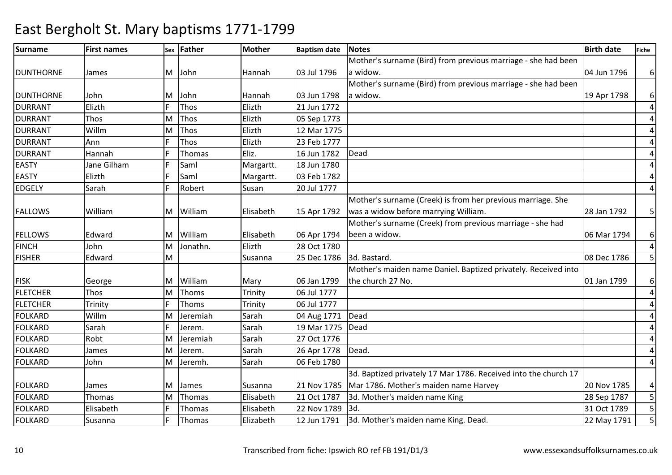### Surnamee First names Sex Father Mother Baptism date Notes Birth date Birth date Fiche DUNTHORNE James M John Hannah 03 Jul 1796Mother's surname (Bird) from previous marriage - she had been a widow.04 Jun 1796 | 6 DUNTHORNE John M John Hannah 03 Jun 179821 lun 1772 Mother's surname (Bird) from previous marriage - she had been a widow.19 Apr 1798 | 6 4DURRANT Elizth <sup>F</sup> Thos Elizth 21 Jun 1772 4DURRANT Thos MThos Elizth 05 Sep 1773<br>Thos Elizth 12 Mar 1775 4DURRANT WillmT<sub>Ann</sub> MM Thos Elizth 12 Mar 1775<br>F Thos Elizth 23 Feb 1777 4DURRANTF Thos Elizth 23 Feb 1777<br>F Thomas Eliz. 16 Jun 1782 4DURRANT Hannah <sup>F</sup> Thomas Eliz. 16 Jun 1782 Dead 4EASTY Jane Gilhamm F Saml Margartt. 18 Jun 1780<br>F G J Margartt. 18 Jun 1780 4EASTY ElizthF Saml Margartt. 03 Feb 1782 EDGELY SarahRobert Susan 20 Jul 1777 4FALLOWS William M William Elisabeth 15 Apr 1792Mother's surname (Creek) is from her previous marriage. She was a widow before marrying William.28 Jan 1792 | 5 FELLOWS Edward M William Elisabeth 06 Apr 1794M Jonathn. Elizth 28 Oct 1780 Mother's surname (Creek) from previous marriage - she had been a widow.06 Mar 1794 | 6 4FINCH John M5 FISHER Edward MM Susanna 25 Dec 1786 3d. Bastard.<br>Mother's maiden name Daniel. Baptized privately. Received into FISK George M William Mary 06 Jan 1799 $M$  Thoms Trinity 06 Jul 1777 the church 27 No.01 Jan 1799 | 6 4**FLETCHER** Thos<br>Trinity M 4FLETCHERR Trinity F Thoms Trinity 06 Jul 1777 4FOLKARD WillmSarah MM Jeremiah Sarah 104 Aug 1771 Dead<br>F Jerem Sarah 19 Mar 1775 Dead 4FOLKARDD Sarah F Jerem. Sarah 19 Mar 1775 Dead FOLKARD Robt MJeremiah Sarah 27 Oct 1776<br>Jerem. Sarah 26 Apr 1778 4 4FOLKARD James MJerem. Sarah 26 Apr 1778 Dead.<br>Jeremh. Sarah 06 Feb 1780 4FOLKARD John M06 Feb 1780 FOLKARD James M James Susanna 21 Nov 178521 Oct 1787 3d. Baptized privately 17 Mar 1786. Received into the church 17 Mar 1786. Mother's maiden name Harvey20 Nov 1785 | 4 5 FOLKARDThomas<br>Elisabeth MM Thomas 1992 Elisabeth 21 Oct 1787 3d. Mother's maiden name King 1994 28 Sep 1787 5<br>1994 Elisabeth 22 Nov 1789 3d. FOLKARDD Elisabeth F Thomas Elisabeth 22 Nov 1789 3d. 31 Oct 1789 5 FOLKARDSusanna <sup>F</sup> Thomas Elizabeth 12 Jun 1791 3d. Mother's maiden name King. Dead. 22 May 1791 <sup>5</sup>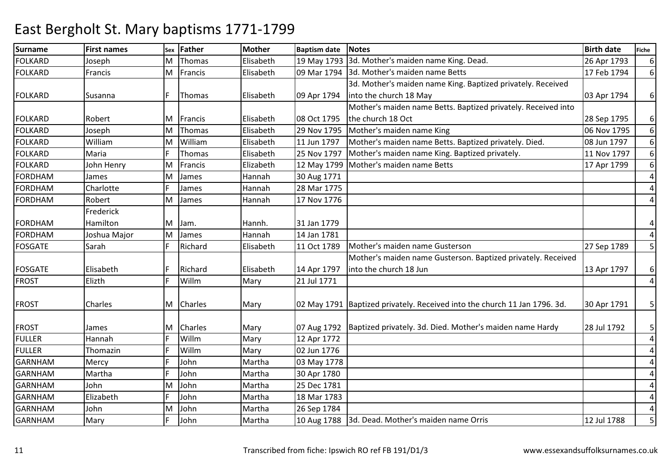| <b>Surname</b> | <b>First names</b> | Sex | Father    | <b>Mother</b> | <b>Baptism date</b> | <b>Notes</b>                                                              | <b>Birth date</b> | <b>Fiche</b>   |
|----------------|--------------------|-----|-----------|---------------|---------------------|---------------------------------------------------------------------------|-------------------|----------------|
| <b>FOLKARD</b> | Joseph             | M   | Thomas    | Elisabeth     |                     | 19 May 1793 3d. Mother's maiden name King. Dead.                          | 26 Apr 1793       | $6 \mid$       |
| <b>FOLKARD</b> | Francis            | M   | Francis   | Elisabeth     | 09 Mar 1794         | 3d. Mother's maiden name Betts                                            | 17 Feb 1794       | $6 \mid$       |
|                |                    |     |           |               |                     | 3d. Mother's maiden name King. Baptized privately. Received               |                   |                |
| <b>FOLKARD</b> | Susanna            |     | Thomas    | Elisabeth     | 09 Apr 1794         | into the church 18 May                                                    | 03 Apr 1794       | $6 \mid$       |
|                |                    |     |           |               |                     | Mother's maiden name Betts. Baptized privately. Received into             |                   |                |
| <b>FOLKARD</b> | Robert             | M   | Francis   | Elisabeth     | 08 Oct 1795         | the church 18 Oct                                                         | 28 Sep 1795       | $6 \mid$       |
| <b>FOLKARD</b> | Joseph             | M   | Thomas    | Elisabeth     | 29 Nov 1795         | Mother's maiden name King                                                 | 06 Nov 1795       | $6 \mid$       |
| <b>FOLKARD</b> | William            | M   | William   | Elisabeth     | 11 Jun 1797         | Mother's maiden name Betts. Baptized privately. Died.                     | 08 Jun 1797       | $6 \mid$       |
| <b>FOLKARD</b> | Maria              |     | Thomas    | Elisabeth     | 25 Nov 1797         | Mother's maiden name King. Baptized privately.                            | 11 Nov 1797       | $6 \mid$       |
| <b>FOLKARD</b> | John Henry         | M   | Francis   | Elizabeth     |                     | 12 May 1799   Mother's maiden name Betts                                  | 17 Apr 1799       | 6 <sup>1</sup> |
| <b>FORDHAM</b> | James              | M   | James     | Hannah        | 30 Aug 1771         |                                                                           |                   | $\overline{4}$ |
| <b>FORDHAM</b> | Charlotte          |     | James     | Hannah        | 28 Mar 1775         |                                                                           |                   | $\overline{4}$ |
| <b>FORDHAM</b> | Robert             | M   | James     | Hannah        | 17 Nov 1776         |                                                                           |                   | $\overline{a}$ |
|                | Frederick          |     |           |               |                     |                                                                           |                   |                |
| <b>FORDHAM</b> | Hamilton           | M   | Jam.      | Hannh.        | 31 Jan 1779         |                                                                           |                   | 4              |
| <b>FORDHAM</b> | Joshua Major       | M   | James     | Hannah        | 14 Jan 1781         |                                                                           |                   | $\overline{4}$ |
| <b>FOSGATE</b> | Sarah              |     | Richard   | Elisabeth     | 11 Oct 1789         | Mother's maiden name Gusterson                                            | 27 Sep 1789       | 5 <sup>1</sup> |
|                |                    |     |           |               |                     | Mother's maiden name Gusterson. Baptized privately. Received              |                   |                |
| <b>FOSGATE</b> | Elisabeth          |     | Richard   | Elisabeth     | 14 Apr 1797         | into the church 18 Jun                                                    | 13 Apr 1797       | $6 \mid$       |
| <b>FROST</b>   | Elizth             | F   | Willm     | Mary          | 21 Jul 1771         |                                                                           |                   | $\overline{4}$ |
|                |                    |     |           |               |                     |                                                                           |                   |                |
| <b>FROST</b>   | Charles            |     | M Charles | Mary          |                     | 02 May 1791 Baptized privately. Received into the church 11 Jan 1796. 3d. | 30 Apr 1791       | 5 <sup>1</sup> |
|                |                    |     |           |               |                     |                                                                           |                   |                |
| <b>FROST</b>   | James              | M   | Charles   | Mary          | 07 Aug 1792         | Baptized privately. 3d. Died. Mother's maiden name Hardy                  | 28 Jul 1792       | 5 <sup>1</sup> |
| <b>FULLER</b>  | Hannah             |     | Willm     | Mary          | 12 Apr 1772         |                                                                           |                   | $\overline{4}$ |
| <b>FULLER</b>  | Thomazin           |     | Willm     | Mary          | 02 Jun 1776         |                                                                           |                   | $\overline{a}$ |
| <b>GARNHAM</b> | Mercy              |     | John      | Martha        | 03 May 1778         |                                                                           |                   | 4              |
| <b>GARNHAM</b> | Martha             |     | John      | Martha        | 30 Apr 1780         |                                                                           |                   | 4              |
| <b>GARNHAM</b> | John               | M   | John      | Martha        | 25 Dec 1781         |                                                                           |                   | 4              |
| <b>GARNHAM</b> | Elizabeth          |     | John      | Martha        | 18 Mar 1783         |                                                                           |                   | $\overline{a}$ |
| <b>GARNHAM</b> | John               | M   | John      | Martha        | 26 Sep 1784         |                                                                           |                   | $\overline{a}$ |
| <b>GARNHAM</b> | Mary               |     | John      | Martha        | 10 Aug 1788         | 3d. Dead. Mother's maiden name Orris                                      | 12 Jul 1788       | 5              |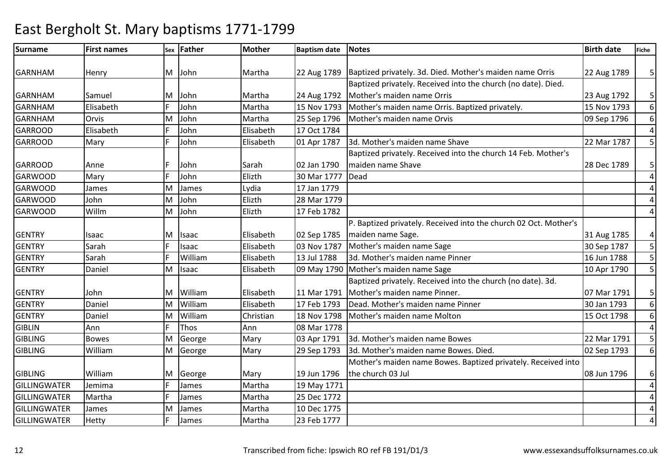### Surnamee First names Sex Father Mother Baptism date Notes Birth date Birth date Fiche GARNHAM Henry M John Martha 22 Aug 1789 Baptized privately. 3d. Died. Mother's maiden name Orris 22 Aug 1789 | 5 GARNHAM Samuel M John Martha 24 Aug 1792 15 Nov 1793 Baptized privately. Received into the church (no date). Died. Mother's maiden name Orris23 Aug 1792 | 5 6GARNHAMElisabeth F John Martha 15 Nov 1793 Mother's maiden name Orris. Baptized privately.<br>
Orvis MIJohn Martha 25 Sep 1796 Mother's maiden name Orvis 09 Sep 1796 6GARNHAMOrvis<br>Elisabeth M John Martha 25 Sep 1796 Mother's maiden name Orvis 09 Sep 1796 4GARROOD Elisabeth <sup>F</sup> John Elisabeth 17 Oct 1784  $\overline{5}$ GARROOD Mary <sup>F</sup> John Elisabeth 01 Apr 1787 3d. Mother's maiden name Shave 22 Mar 1787 <sup>5</sup> GARROOD Anne IF John Sarah 1790 30 Mar 1777 Baptized privately. Received into the church 14 Feb. Mother's maiden name Shave28 Dec 1789 | 5 4GARWOODD Mary F John Elizth 30 Mar 1777 Dead 4GARWOOD James MJames | Lydia | 17 Jan 1779<br>John | Elizth | 28 Mar 1779 4GARWOOD John MJohn **Elizth 28 Mar 1779**<br>John Elizth 17 Feb 1782 4GARWOOD WillmM17 Feb 1782 GENTRY Isaac M Isaac IM Isaac Elisabeth 102 Sep 1785 03 Nov 1787 P. Baptized privately. Received into the church 02 Oct. Mother's maiden name Sage.31 Aug 1785 | 4 5 **GENTRY**  Sarah <sup>F</sup> Isaac Elisabeth 03 Nov 1787 Mother's maiden name Sage 30 Sep 1787 <sup>5</sup> **GENTRY**  SarahWilliam Elisabeth 13 Jul 1788 3d. Mother's maiden name Pinner 16 Jul 1788 5 16 Jun 1788 5 16 Jun 1788 5 16 Jun 1790 5 16 Jun 1790 5 16 Jun 1790 5 16 Jun 1790 5 16 Jun 1790 5 16 Jun 1790 1 16 Jun 1790 1 16 Jun 1790 1 16 Jun 1790 1 **GENTRY**  Daniel MIsaac **Industry Elisabeth** 109 May 1790 Mother's maiden name Sage GENTRY John M William Elisabeth 11 Mar 179117 Feb 1793 Baptized privately. Received into the church (no date). 3d. Mother's maiden name Pinner.07 Mar 1791 | 5 6**GENTRY**  Daniel M William Elisabeth 17 Feb 1793 Dead. Mother's maiden name Pinner 30 Jan 1793 6**GENTRY**  Daniel MM William Christian 18 Nov 1798 Mother's maiden name Molton <br>F Thos Ann 08 Mar 1778 4GIBLINN Ann F Thos Ann 08 Mar 1778 5 GIBLING Bowes MGeorge Mary 03 Apr 1791 3d. Mother's maiden name Bowes 22 Mar 1791 3d. Mother's maiden name Bowes 20 Mar 1791<br>George Mary 29 Sep 1793 3d. Mother's maiden name Bowes. Died. 02 Sep 1793 **GIBLING**  WilliamMM George Mary 29 Sep 1793 3d. Mother's maiden name Bowes. Died. 02 Sep 1793<br>Mother's maiden name Bowes. Baptized privately. Received into 6GIBLING William M George Mary 19 Jun 1796 R Jemima F James Martha 19 May 1771 the church 03 Jul08 Jun 1796 | 6 4GILLINGWATER 4**GILLINGWATER** R Martha **F** James Martha 25 Dec 1772 4GILLINGWATER James MM James Martha 10 Dec 1775<br>F James Martha 23 Feb 1777 4GILLINGWATERR |Hetty F |James |Martha |23 Feb 1777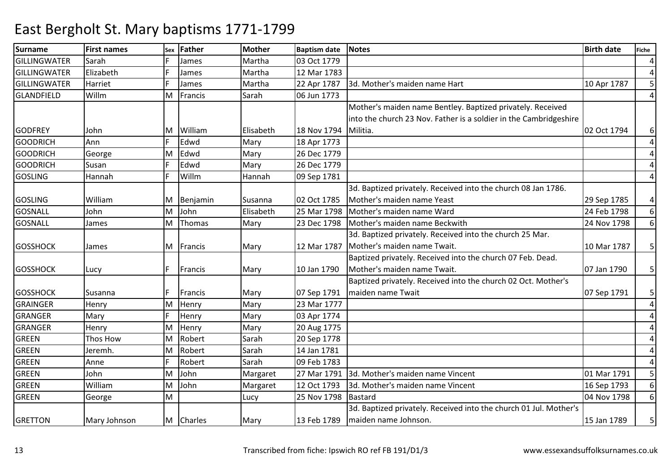| <b>Surname</b>      | <b>First names</b> | Sex | <b>Father</b> | <b>Mother</b> | <b>Baptism date</b> | <b>Notes</b>                                                      | <b>Birth date</b> | <b>Fiche</b>            |
|---------------------|--------------------|-----|---------------|---------------|---------------------|-------------------------------------------------------------------|-------------------|-------------------------|
| <b>GILLINGWATER</b> | Sarah              |     | James         | Martha        | 03 Oct 1779         |                                                                   |                   | $\overline{a}$          |
| GILLINGWATER        | Elizabeth          |     | James         | Martha        | 12 Mar 1783         |                                                                   |                   | $\overline{a}$          |
| <b>GILLINGWATER</b> | Harriet            |     | James         | Martha        | 22 Apr 1787         | 3d. Mother's maiden name Hart                                     | 10 Apr 1787       | 5 <sup>1</sup>          |
| GLANDFIELD          | Willm              | M   | Francis       | Sarah         | 06 Jun 1773         |                                                                   |                   | $\overline{4}$          |
|                     |                    |     |               |               |                     | Mother's maiden name Bentley. Baptized privately. Received        |                   |                         |
|                     |                    |     |               |               |                     | into the church 23 Nov. Father is a soldier in the Cambridgeshire |                   |                         |
| <b>GODFREY</b>      | John               | M   | William       | Elisabeth     | 18 Nov 1794         | Militia.                                                          | 02 Oct 1794       | $6 \mid$                |
| <b>GOODRICH</b>     | Ann                |     | Edwd          | Mary          | 18 Apr 1773         |                                                                   |                   | $\overline{4}$          |
| <b>GOODRICH</b>     | George             | м   | Edwd          | Mary          | 26 Dec 1779         |                                                                   |                   | 4                       |
| <b>GOODRICH</b>     | Susan              |     | Edwd          | Mary          | 26 Dec 1779         |                                                                   |                   | $\overline{4}$          |
| <b>GOSLING</b>      | Hannah             |     | Willm         | Hannah        | 09 Sep 1781         |                                                                   |                   | $\overline{4}$          |
|                     |                    |     |               |               |                     | 3d. Baptized privately. Received into the church 08 Jan 1786.     |                   |                         |
| <b>GOSLING</b>      | William            | M   | Benjamin      | Susanna       | 02 Oct 1785         | Mother's maiden name Yeast                                        | 29 Sep 1785       | 4                       |
| <b>GOSNALL</b>      | John               | M   | John          | Elisabeth     |                     | 25 Mar 1798   Mother's maiden name Ward                           | 24 Feb 1798       | $6 \mid$                |
| <b>GOSNALL</b>      | James              | M   | Thomas        | Mary          | 23 Dec 1798         | Mother's maiden name Beckwith                                     | 24 Nov 1798       | 6 <sup>1</sup>          |
|                     |                    |     |               |               |                     | 3d. Baptized privately. Received into the church 25 Mar.          |                   |                         |
| <b>GOSSHOCK</b>     | James              | M   | Francis       | Mary          | 12 Mar 1787         | Mother's maiden name Twait.                                       | 10 Mar 1787       | 5 <sup>1</sup>          |
|                     |                    |     |               |               |                     | Baptized privately. Received into the church 07 Feb. Dead.        |                   |                         |
| <b>GOSSHOCK</b>     | Lucy               | F.  | Francis       | Mary          | 10 Jan 1790         | Mother's maiden name Twait.                                       | 07 Jan 1790       | 5 <sup>1</sup>          |
|                     |                    |     |               |               |                     | Baptized privately. Received into the church 02 Oct. Mother's     |                   |                         |
| <b>GOSSHOCK</b>     | Susanna            |     | Francis       | Mary          | 07 Sep 1791         | maiden name Twait                                                 | 07 Sep 1791       | 5 <sup>1</sup>          |
| <b>GRAINGER</b>     | Henry              | M   | Henry         | Mary          | 23 Mar 1777         |                                                                   |                   | 4                       |
| <b>GRANGER</b>      | Mary               |     | Henry         | Mary          | 03 Apr 1774         |                                                                   |                   | 4                       |
| <b>GRANGER</b>      | Henry              | M   | Henry         | Mary          | 20 Aug 1775         |                                                                   |                   | 4                       |
| <b>GREEN</b>        | Thos How           | м   | Robert        | Sarah         | 20 Sep 1778         |                                                                   |                   | 4                       |
| <b>GREEN</b>        | Jeremh.            | м   | Robert        | Sarah         | 14 Jan 1781         |                                                                   |                   | 4                       |
| <b>GREEN</b>        | Anne               |     | Robert        | Sarah         | 09 Feb 1783         |                                                                   |                   | $\overline{4}$          |
| <b>GREEN</b>        | John               | м   | John          | Margaret      | 27 Mar 1791         | 3d. Mother's maiden name Vincent                                  | 01 Mar 1791       | 5 <sup>1</sup>          |
| <b>GREEN</b>        | William            | M   | John          | Margaret      | 12 Oct 1793         | 3d. Mother's maiden name Vincent                                  | 16 Sep 1793       | $6 \mid$                |
| <b>GREEN</b>        | George             | M   |               | Lucy          | 25 Nov 1798         | Bastard                                                           | 04 Nov 1798       | 6 <sup>1</sup>          |
|                     |                    |     |               |               |                     | 3d. Baptized privately. Received into the church 01 Jul. Mother's |                   |                         |
| <b>GRETTON</b>      | Mary Johnson       |     | M Charles     | Mary          | 13 Feb 1789         | maiden name Johnson.                                              | 15 Jan 1789       | $\overline{\mathbf{5}}$ |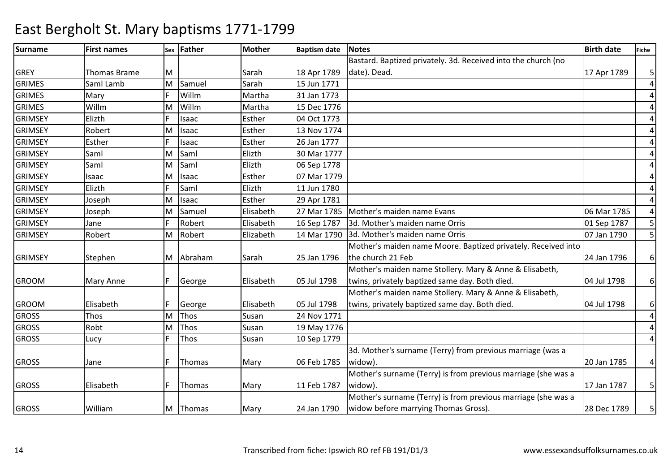### Surnamee First names Sex Father Mother Baptism date Notes Birth date Birth date Fiche GREY Thomas Brame M N Sarah 18 Apr 1789 15 Jun 1771 Bastard. Baptized privately. 3d. Received into the church (no date). Dead.17 Apr 1789 | 5 4GRIMES Saml LambM Samuel Sarah 15 Jun 1771 4GRIMESS Mary F Willm Willm Martha 31 Jan 1773<br>Willm Martha 15 Dec 1776 4GRIMES WillmY Elizth MM Willm Martha 15 Dec 1776<br>F Isaac Esther 04 Oct 1773 4GRIMSEYEsther 04 Oct 1773<br>Esther 13 Nov 1774 4GRIMSEY Robert MM Isaac Esther 13 Nov 1774<br>F Isaac Esther 26 Jan 1777 4GRIMSEYY Esther F Isaac Esther 26 Jan 1777 Saml Elizth 30 Mar 1777 4**GRIMSEY**  Saml M 4GRIMSEY Saml MSaml Elizth 06 Sep 1778<br>Isaac Esther 07 Mar 1779 4GRIMSEY Isaac MM Isaac Esther 07 Mar 1779<br>E Saml Elizth 11 Jun 1780 4GRIMSEY ElizthElizth 11 Jun 1780<br>Fsther 129 Apr 1781 4GRIMSEY Joseph JosephMIsaac Esther 29 Apr 1781<br>Samuel Elisabeth 27 Mar 1785 4GRIMSEYM Samuel Elisabeth 27 Mar 1785 Mother's maiden name Evans 06 Mar 1785 5 GRIMSEY Jane <sup>F</sup> Robert Elisabeth16 Sep 1787 | 3d. Mother's maiden name Orris | 01 Sep 1787 | 5<br>14 Mar 1790 | 3d. Mother's maiden name Orris | 07 Jan 1790 | 5 GRIMSEY Robert MM | Robert | Elizabeth | 14 Mar 1790 | 3d. Mother's maiden name Orris | 1790 | 07 Jan 1790 | 5<br>Mother's maiden name Moore. Baptized privately. Received into GRIMSEY Stephen M Abraham Sarah 25 Jan 1796 the church 21 Feb24 Jan 1796 | 6 GROOM Mary Anne F George Elisabeth 05 Jul 1798 Mother's maiden name Stollery. Mary & Anne & Elisabeth, twins, privately baptized same day. Both died.04 Jul 1798 | 6 GROOM Elisabeth F George Elisabeth 05 Jul 1798M Thos Susan 24 Nov 1771 Mother's maiden name Stollery. Mary & Anne & Elisabeth, twins, privately baptized same day. Both died.04 Jul 1798 | 6 4GROSS Thos M 4GROSS Robt MM Thos Susan 19 May 1776<br>F Thos Susan 10 Sep 1779 GROSS Lucy <sup>F</sup> Thos Susan 10 Sep 1779 4GROSS Jane  $\begin{array}{|c|c|c|c|c|}\n\hline\n\text{GROSS} & \text{Jane} & \text{F} & \text{Thomas} & \text{Mary} & \text{O6 Feb 1785}\n\hline\n\end{array}$ 3d. Mother's surname (Terry) from previous marriage (was a widow).20 Jan 1785 | 4 GROSS **Elisabeth** F Thomas Mary 11 Feb 1787 Mother's surname (Terry) is from previous marriage (she was a widow).17 Jan 1787  $\vert$  5 GROSS William M Thomas Mary 24 Jan 1790 Mother's surname (Terry) is from previous marriage (she was a widow before marrying Thomas Gross).28 Dec 1789 | 5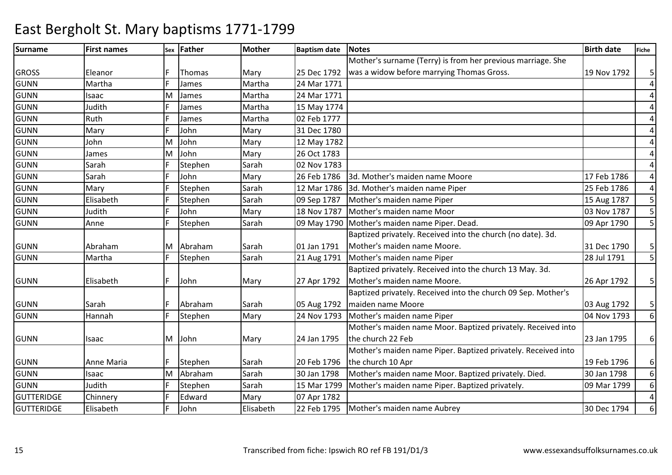### Surnamee First names Sex Father Mother Baptism date Notes Birth date Birth date Fiche GROSS Eleanor F Thomas Mary 25 Dec 1792 24 Mar 1771 Mother's surname (Terry) is from her previous marriage. She was a widow before marrying Thomas Gross.19 Nov 1792 | 5 4GUNNN Martha F James Martha 24 Mar 1771 4GUNN Isaac MM James Martha 24 Mar 1771<br>F James Martha 15 May 1774 4GUNNN Judith F James Martha 15 May 1774 4GUNNN Ruth F James Martha 02 Feb 1777 4GUNNN Mary F John Mary 31 Dec 1780 4GUNN John M**John Mary 12 May 1782**<br>John Mary 26 Oct 1783 4**GUNN** James<br>Sarah MM John Mary 26 Oct 1783<br>F Stephen Sarah 02 Nov 1783 4**GUNN** N Sarah F Stephen Sarah 02 Nov 1783 4GUNNSarah 17 F John 1786 26 Feb 1786 3d. Mother's maiden name Moore<br>Mary F Stephen Sarah 12 Mar 1786 3d. Mother's maiden name Piper 25 Feb 1786 4GUNNN Mary F Stephen Sarah 12 Mar 1786 3d. Mother's maiden name Piper 25 Feb 1786  $\overline{5}$ GUNNN Elisabeth F Stephen Sarah 109 Sep 1787 Mother's maiden name Piper 15 Aug 1787 5 15 Aug 1787 5 15 Aug 1787 5 1 GUNNN Judith F John Mary 18 Nov 1787 Mother's maiden name Moor 03 Nov 1787 5 GUNNAnne Filestephen Sarah 109 May 1790 Mother's maiden name Piper. Dead. 1998 Mother 1790 S GUNN Abraham M Abraham Sarah 01 Jan 179121 Aug 1791 Baptized privately. Received into the church (no date). 3d. Mother's maiden name Moore.31 Dec 1790 | 5 5 GUNNN 1791 | Martha | F Stephen | Sarah | 21 Aug 1791 | Mother's maiden name Piper | 28 Jul 1791 | 5 GUNN Elisabeth F John Mary 27 Apr 1792Baptized privately. Received into the church 13 May. 3d. Mother's maiden name Moore.26 Apr 1792 | 5 GUNN Sarah F Abraham Sarah 05 Aug 179224 Nov 1793 Baptized privately. Received into the church 09 Sep. Mother's maiden name Moore03 Aug 1792 | 5 6GUNNN Hannah F Stephen Mary 24 Nov 1793 Mother's maiden name Piper 1988 Mother's maiden name Piper 1988 Mother's maiden name Piper GUNN Isaac | M John | Mary | 24 Jan 1795 Mother's maiden name Moor. Baptized privately. Received into the church 22 Feb23 Jan 1795 | 6 GUNN Anne Maria F Stephen Sarah 20 Feb 179630 Jan 1798 Mother's maiden name Piper. Baptized privately. Received into the church 10 Apr19 Feb 1796 | 6 6GUNNIsaac<br>Judith MM Abraham Sarah 30 Jan 1798 Mother's maiden name Moor. Baptized privately. Died. 30 Jan 1798<br>F Stephen Sarah 15 Mar 1799 Mother's maiden name Piper. Baptized privately. (9 Mar 1799 6GUNNF Stephen Sarah 15 Mar 1799 Mother's maiden name Piper. Baptized privately.<br>F Edward Mary 07 Apr 1782 4**GUTTERIDGE** Chinnery F<br>Flisabeth F Mary 07 Apr 1782<br>Elisabeth 22 Feb 1795 6**GUTTERIDGE**  Elisabeth<sup>F</sup> John Elisabeth 22 Feb 1795 Mother's maiden name Aubrey 30 Dec 1794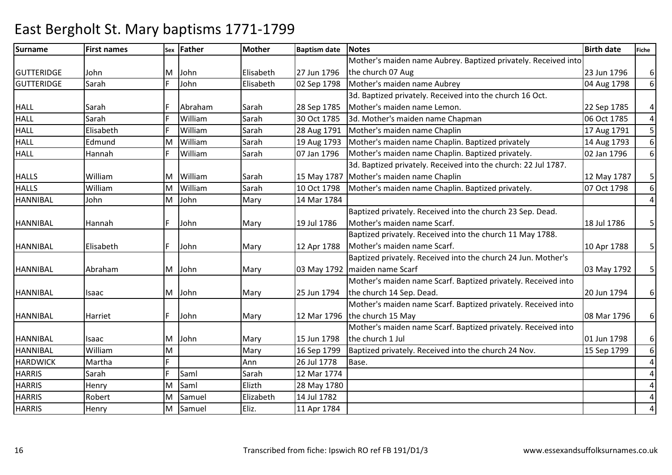| <b>Surname</b>    | <b>First names</b> | Sex | <b>Father</b> | <b>Mother</b> | <b>Baptism date</b> | <b>Notes</b>                                                   | <b>Birth date</b> | <b>Fiche</b>   |
|-------------------|--------------------|-----|---------------|---------------|---------------------|----------------------------------------------------------------|-------------------|----------------|
|                   |                    |     |               |               |                     | Mother's maiden name Aubrey. Baptized privately. Received into |                   |                |
| <b>GUTTERIDGE</b> | John               | M   | John          | Elisabeth     | 27 Jun 1796         | the church 07 Aug                                              | 23 Jun 1796       | $6 \mid$       |
| <b>GUTTERIDGE</b> | Sarah              |     | John          | Elisabeth     | 02 Sep 1798         | Mother's maiden name Aubrey                                    | 04 Aug 1798       | 6 <sup>1</sup> |
|                   |                    |     |               |               |                     | 3d. Baptized privately. Received into the church 16 Oct.       |                   |                |
| <b>HALL</b>       | Sarah              |     | Abraham       | Sarah         | 28 Sep 1785         | Mother's maiden name Lemon.                                    | 22 Sep 1785       | $\vert$        |
| <b>HALL</b>       | Sarah              |     | William       | Sarah         | 30 Oct 1785         | 3d. Mother's maiden name Chapman                               | 06 Oct 1785       | $\vert$ 4      |
| <b>HALL</b>       | Elisabeth          |     | William       | Sarah         | 28 Aug 1791         | Mother's maiden name Chaplin                                   | 17 Aug 1791       | $\overline{5}$ |
| <b>HALL</b>       | Edmund             | м   | William       | Sarah         | 19 Aug 1793         | Mother's maiden name Chaplin. Baptized privately               | 14 Aug 1793       | 6 <sup>1</sup> |
| <b>HALL</b>       | Hannah             |     | William       | Sarah         | 07 Jan 1796         | Mother's maiden name Chaplin. Baptized privately.              | 02 Jan 1796       | 6 <sup>1</sup> |
|                   |                    |     |               |               |                     | 3d. Baptized privately. Received into the church: 22 Jul 1787. |                   |                |
| <b>HALLS</b>      | William            | M   | William       | Sarah         | 15 May 1787         | Mother's maiden name Chaplin                                   | 12 May 1787       | 5 <sup>1</sup> |
| <b>HALLS</b>      | William            | м   | William       | Sarah         | 10 Oct 1798         | Mother's maiden name Chaplin. Baptized privately.              | 07 Oct 1798       | 6 <sup>1</sup> |
| <b>HANNIBAL</b>   | John               | M   | John          | Mary          | 14 Mar 1784         |                                                                |                   | $\overline{4}$ |
|                   |                    |     |               |               |                     | Baptized privately. Received into the church 23 Sep. Dead.     |                   |                |
| <b>HANNIBAL</b>   | Hannah             |     | John          | Mary          | 19 Jul 1786         | Mother's maiden name Scarf.                                    | 18 Jul 1786       | 5 <sup>1</sup> |
|                   |                    |     |               |               |                     | Baptized privately. Received into the church 11 May 1788.      |                   |                |
| <b>HANNIBAL</b>   | Elisabeth          |     | John          | Mary          | 12 Apr 1788         | Mother's maiden name Scarf.                                    | 10 Apr 1788       | 5 <sup>1</sup> |
|                   |                    |     |               |               |                     | Baptized privately. Received into the church 24 Jun. Mother's  |                   |                |
| <b>HANNIBAL</b>   | Abraham            | M   | John          | Mary          |                     | 03 May 1792   maiden name Scarf                                | 03 May 1792       | 5 <sup>1</sup> |
|                   |                    |     |               |               |                     | Mother's maiden name Scarf. Baptized privately. Received into  |                   |                |
| <b>HANNIBAL</b>   | Isaac              | M   | John          | Mary          | 25 Jun 1794         | the church 14 Sep. Dead.                                       | 20 Jun 1794       | $6 \mid$       |
|                   |                    |     |               |               |                     | Mother's maiden name Scarf. Baptized privately. Received into  |                   |                |
| <b>HANNIBAL</b>   | Harriet            |     | John          | Mary          | 12 Mar 1796         | the church 15 May                                              | 08 Mar 1796       | $6 \mid$       |
|                   |                    |     |               |               |                     | Mother's maiden name Scarf. Baptized privately. Received into  |                   |                |
| <b>HANNIBAL</b>   | Isaac              | M   | John          | Mary          | 15 Jun 1798         | the church 1 Jul                                               | 01 Jun 1798       | $6 \mid$       |
| <b>HANNIBAL</b>   | William            | M   |               | Mary          | 16 Sep 1799         | Baptized privately. Received into the church 24 Nov.           | 15 Sep 1799       | $6 \mid$       |
| <b>HARDWICK</b>   | Martha             |     |               | Ann           | 26 Jul 1778         | Base.                                                          |                   | $\overline{4}$ |
| <b>HARRIS</b>     | Sarah              |     | Saml          | Sarah         | 12 Mar 1774         |                                                                |                   | $\overline{a}$ |
| <b>HARRIS</b>     | Henry              | M   | Saml          | Elizth        | 28 May 1780         |                                                                |                   | $\overline{4}$ |
| <b>HARRIS</b>     | Robert             | M   | Samuel        | Elizabeth     | 14 Jul 1782         |                                                                |                   | $\overline{4}$ |
| <b>HARRIS</b>     | Henry              | М   | Samuel        | Eliz.         | 11 Apr 1784         |                                                                |                   | 4              |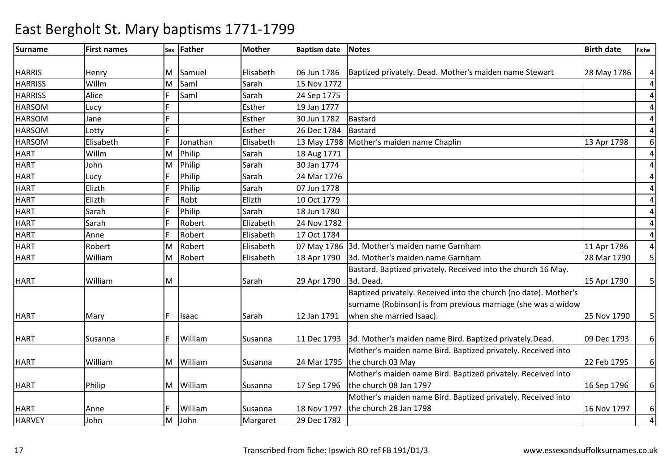### Surnamee First names Sex Father Mother Baptism date Notes Birth date Birth date Fiche HARRIS Henry M Samuel Elisabeth 06 Jun 178606 Jun 1786 Baptized privately. Dead. Mother's maiden name Stewart 28 May 1786 4 **HARRISS**  WillmS Alice M Saml Sarah 15 Nov 1772 4 4**HARRISS**  <sup>F</sup> Saml SarahSarah 24 Sep 1775<br>Esther 19 Jan 1777 4HARSOMM Lucy F Esther 19 Jan 1777<br>M Lucy F Esther 20 June 1793 4HARSOM Jane <sup>F</sup> Esther 30 Jun 1782 Bastard 4HARSOM Lotty <sup>F</sup> Esther 26 Dec 1784 Bastard 6HARSOMM Elisabeth F Jonathan Elisabeth 13 May 1798 Mother's maiden name Chaplin 13 Apr 1798<br>13 Apr 1798 4**HART**  Willm JohnMPhilip Sarah 18 Aug 1771<br>Philip Sarah 30 Jan 1774 4**HART** MPhilip Sarah 30 Jan 1774<br>Philip Sarah 24 Mar 1776 4**HART**  Lucy <sup>F</sup> Philip24 Mar 1776 4**HART**  ElizthF Philip Sarah 107 Jun 1778<br>F Robt 1179 4**HART**  ElizthF Robt Elizth 10 Oct 1779<br>F Philip Sarah 18 Jun 1780 4**HART**  Sarah <sup>F</sup> Philip Sarah 18 Jun 1780 4**HART**  SarahF Robert Elizabeth 24 Nov 1782 4**HART**  Anne**Robert** Elisabeth 17 Oct 1784 4**HART**  Robert M Robert Elisabeth 07 May 1786 3d. Mother's maiden name Garnham 11 Apr 1786 5 HART WilliamM3d. Mother's maiden name Garnham HART William M Sarah 29 Apr 1790Bastard. Baptized privately. Received into the church 16 May. 3d. Dead.15 Apr 1790 | 5 HART Mary F Isaac Sarah 12 Jan 1791Baptized privately. Received into the church (no date). Mother's surname (Robinson) is from previous marriage (she was a widow when she married Isaac).25 Nov 1790 | 5 HART Susanna F William Susanna 11 Dec 17933d. Mother's maiden name Bird. Baptized privately.Dead. 109 Dec 1793 | 6 HART William M William Susanna 24 Mar 1795Mother's maiden name Bird. Baptized privately. Received into the church 03 May22 Feb 1795 | 6 HART Philip M William Susanna 17 Sep 1796 Mother's maiden name Bird. Baptized privately. Received into the church 08 Jan 179716 Sep 1796 | 6 HART Anne F William Susanna 18 Nov 1797M John Margaret 29 Dec 1782 Mother's maiden name Bird. Baptized privately. Received into the church 28 Jan 179816 Nov 1797 | 6 4**HARVEY**  JohnM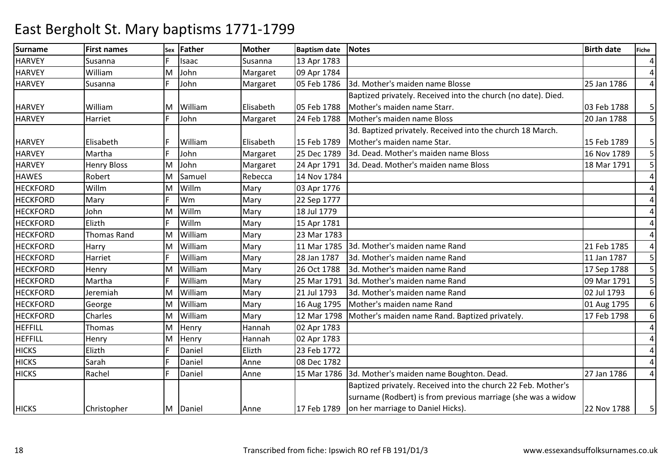| <b>Surname</b>  | <b>First names</b> | Sex | <b>Father</b> | <b>Mother</b> | <b>Baptism date</b> | <b>Notes</b>                                                  | <b>Birth date</b> | <b>Fiche</b>   |
|-----------------|--------------------|-----|---------------|---------------|---------------------|---------------------------------------------------------------|-------------------|----------------|
| <b>HARVEY</b>   | Susanna            |     | Isaac         | Susanna       | 13 Apr 1783         |                                                               |                   | $\overline{a}$ |
| <b>HARVEY</b>   | William            | M   | John          | Margaret      | 09 Apr 1784         |                                                               |                   | 4              |
| <b>HARVEY</b>   | Susanna            |     | John          | Margaret      | 05 Feb 1786         | 3d. Mother's maiden name Blosse                               | 25 Jan 1786       | $\overline{a}$ |
|                 |                    |     |               |               |                     | Baptized privately. Received into the church (no date). Died. |                   |                |
| <b>HARVEY</b>   | William            | M   | William       | Elisabeth     | 05 Feb 1788         | Mother's maiden name Starr.                                   | 03 Feb 1788       | 5              |
| <b>HARVEY</b>   | Harriet            |     | John          | Margaret      | 24 Feb 1788         | Mother's maiden name Bloss                                    | 20 Jan 1788       | 5 <sup>1</sup> |
|                 |                    |     |               |               |                     | 3d. Baptized privately. Received into the church 18 March.    |                   |                |
| <b>HARVEY</b>   | Elisabeth          |     | William       | Elisabeth     | 15 Feb 1789         | Mother's maiden name Star.                                    | 15 Feb 1789       | 5 <sub>l</sub> |
| <b>HARVEY</b>   | Martha             |     | John          | Margaret      | 25 Dec 1789         | 3d. Dead. Mother's maiden name Bloss                          | 16 Nov 1789       | 5 <sub>l</sub> |
| <b>HARVEY</b>   | <b>Henry Bloss</b> | M   | John          | Margaret      | 24 Apr 1791         | 3d. Dead. Mother's maiden name Bloss                          | 18 Mar 1791       | 5 <sup>1</sup> |
| <b>HAWES</b>    | Robert             | M   | Samuel        | Rebecca       | 14 Nov 1784         |                                                               |                   | $\overline{4}$ |
| <b>HECKFORD</b> | Willm              | м   | Willm         | Mary          | 03 Apr 1776         |                                                               |                   | 4              |
| <b>HECKFORD</b> | Mary               |     | Wm            | Mary          | 22 Sep 1777         |                                                               |                   | 4              |
| <b>HECKFORD</b> | John               | M   | Willm         | Mary          | 18 Jul 1779         |                                                               |                   | 4              |
| <b>HECKFORD</b> | Elizth             |     | Willm         | Mary          | 15 Apr 1781         |                                                               |                   | 4              |
| <b>HECKFORD</b> | <b>Thomas Rand</b> | M   | William       | Mary          | 23 Mar 1783         |                                                               |                   | 4              |
| <b>HECKFORD</b> | Harry              | Μ   | William       | Mary          | 11 Mar 1785         | 3d. Mother's maiden name Rand                                 | 21 Feb 1785       | 4              |
| <b>HECKFORD</b> | Harriet            |     | William       | Mary          | 28 Jan 1787         | 3d. Mother's maiden name Rand                                 | 11 Jan 1787       | 5              |
| <b>HECKFORD</b> | Henry              | м   | William       | Mary          | 26 Oct 1788         | 3d. Mother's maiden name Rand                                 | 17 Sep 1788       | 5 <sup>1</sup> |
| <b>HECKFORD</b> | Martha             |     | William       | Mary          | 25 Mar 1791         | 3d. Mother's maiden name Rand                                 | 09 Mar 1791       | 5 <sup>1</sup> |
| <b>HECKFORD</b> | Jeremiah           | Μ   | William       | Mary          | 21 Jul 1793         | 3d. Mother's maiden name Rand                                 | 02 Jul 1793       | $6 \mid$       |
| <b>HECKFORD</b> | George             | M   | William       | Mary          | 16 Aug 1795         | Mother's maiden name Rand                                     | 01 Aug 1795       | 6 <sup>1</sup> |
| <b>HECKFORD</b> | Charles            | М   | William       | Mary          | 12 Mar 1798         | Mother's maiden name Rand. Baptized privately.                | 17 Feb 1798       | $6 \mid$       |
| <b>HEFFILL</b>  | Thomas             | М   | Henry         | Hannah        | 02 Apr 1783         |                                                               |                   | $\overline{4}$ |
| <b>HEFFILL</b>  | Henry              | M   | Henry         | Hannah        | 02 Apr 1783         |                                                               |                   | 4              |
| <b>HICKS</b>    | Elizth             |     | Daniel        | Elizth        | 23 Feb 1772         |                                                               |                   | 4              |
| <b>HICKS</b>    | Sarah              |     | Daniel        | Anne          | 08 Dec 1782         |                                                               |                   | $\overline{4}$ |
| <b>HICKS</b>    | Rachel             |     | Daniel        | Anne          | 15 Mar 1786         | 3d. Mother's maiden name Boughton. Dead.                      | 27 Jan 1786       | $\overline{4}$ |
|                 |                    |     |               |               |                     | Baptized privately. Received into the church 22 Feb. Mother's |                   |                |
|                 |                    |     |               |               |                     | surname (Rodbert) is from previous marriage (she was a widow  |                   |                |
| <b>HICKS</b>    | Christopher        |     | M Daniel      | Anne          | 17 Feb 1789         | on her marriage to Daniel Hicks).                             | 22 Nov 1788       | 5              |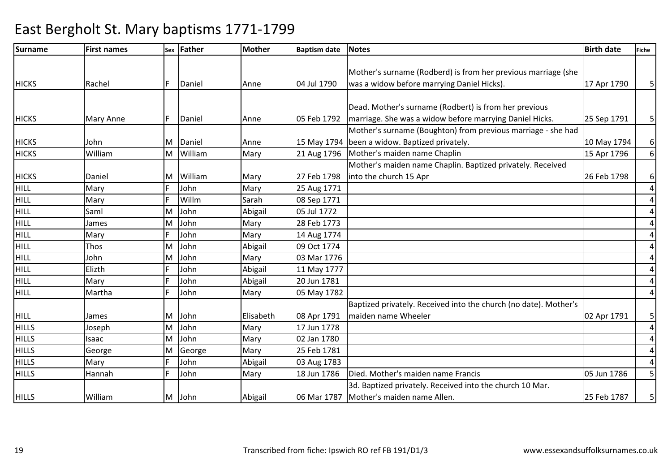### Surnamee First names Sex Father Mother Baptism date Notes Birth date Birth date Fiche HICKS Rachel F Daniel Anne 04 Jul 1790Mother's surname (Rodberd) is from her previous marriage (she was a widow before marrying Daniel Hicks).HICKS Mary Anne F Daniel Anne 05 Feb 1792Dead. Mother's surname (Rodbert) is from her previous marriage. She was a widow before marrying Daniel Hicks.HICKS John M Daniel Anne 15 May 179421 Aug 1796 Mother's surname (Boughton) from previous marriage - she had been a widow. Baptized privately.**HICKS**  WilliamM William Mary 21 Aug 1796 Mother's maiden name Chaplin 15 Apr 1796 Mother's maiden name Chaplin. Baptized privately. Received HICKS Daniel M William Mary 27 Feb 1798n Mary 25 Aug 1771 into the church 15 AprHILL MaryF John<br>F Willn HILL Mary**Willm Willm Sarah 08 Sep 1771**<br>John Abigail 05 Jul 1772 HILL Saml MJohn Abigail 05 Jul 1772<br>John Mary 28 Feb 1773 HILL James MM John Mary 28 Feb 1773<br>F John Mary 14 Aug 1774 HILL MaryJohn Mary 14 Aug 1774<br>Abigail 09 Oct 1774 HILL Thos M John Abigail 09 Oct 1774 HILL JohnL<br>Elizth MM John Mary 03 Mar 1776<br>F John Abigail 11 May 1777 HILLE John Abigail 11 May 1777<br>F John Abigail 20 Jun 1781 HILL MaryJohn 20 Jun 1781 HILL Martha <sup>F</sup> John Mary 05 May 1782 HILL James M John Elisabeth 08 Apr 1791M John Mary 17 Jun 1778 Baptized privately. Received into the church (no date). Mother's maiden name Wheeler**HILLS**  JosephM**HILLS**  Isaac MJohn Mary 02 Jan 1780<br>George Mary 25 Feb 1781 **HILLS**  GeorgeMM George Mary 25 Feb 1781<br>F John Abigail 03 Aug 1783

### East Bergholt St. Mary baptisms 1771-1799

17 Apr 1790 5

 $25$  Sep 1791 | 5

10 May 1794 6

26 Feb 1798 | 6

02 Apr 1791 | 5

25 Feb 1787 | 5

6

4

4

4

4

4

4

4

4

44

4

44

4

5

F John 1786 | Mary 18 Jun 1786 | Died. Mother's maiden name Francis 1995 105 Jun 1786

Mother's maiden name Allen.

3d. Baptized privately. Received into the church 10 Mar.

03 Aug 1783<br>18 Jun 1786

**HILLS** 

**HILLS** 

S Mary F John

HILLS William M John Abigail 06 Mar 1787

Hannah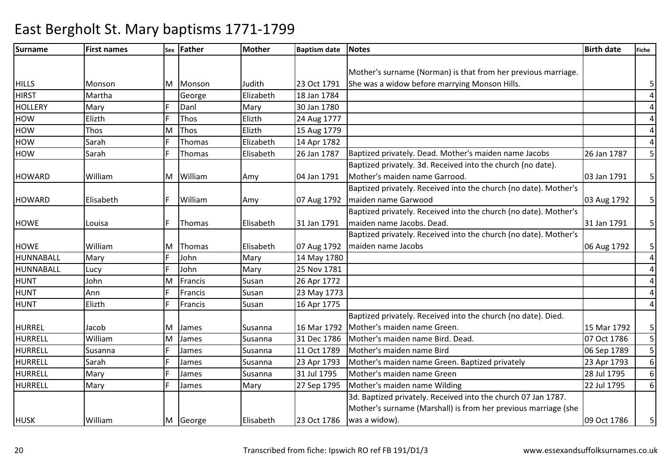| <b>Surname</b> | <b>First names</b> | Sex | Father    | Mother    | <b>Baptism date</b> | <b>Notes</b>                                                     | <b>Birth date</b> | <b>Fiche</b>   |
|----------------|--------------------|-----|-----------|-----------|---------------------|------------------------------------------------------------------|-------------------|----------------|
|                |                    |     |           |           |                     |                                                                  |                   |                |
|                |                    |     |           |           |                     | Mother's surname (Norman) is that from her previous marriage.    |                   |                |
| <b>HILLS</b>   | Monson             |     | M Monson  | Judith    | 23 Oct 1791         | She was a widow before marrying Monson Hills.                    |                   | 5              |
| <b>HIRST</b>   | Martha             |     | George    | Elizabeth | 18 Jan 1784         |                                                                  |                   | $\overline{4}$ |
| <b>HOLLERY</b> | Mary               |     | Danl      | Mary      | 30 Jan 1780         |                                                                  |                   | $\overline{a}$ |
| <b>HOW</b>     | Elizth             |     | Thos      | Elizth    | 24 Aug 1777         |                                                                  |                   | $\overline{4}$ |
| <b>HOW</b>     | Thos               | M   | Thos      | Elizth    | 15 Aug 1779         |                                                                  |                   | 4              |
| <b>HOW</b>     | Sarah              |     | Thomas    | Elizabeth | 14 Apr 1782         |                                                                  |                   | $\overline{4}$ |
| <b>HOW</b>     | Sarah              |     | Thomas    | Elisabeth | 26 Jan 1787         | Baptized privately. Dead. Mother's maiden name Jacobs            | 26 Jan 1787       | 5 <sup>1</sup> |
|                |                    |     |           |           |                     | Baptized privately. 3d. Received into the church (no date).      |                   |                |
| <b>HOWARD</b>  | William            |     | M William | Amy       | 04 Jan 1791         | Mother's maiden name Garrood.                                    | 03 Jan 1791       | 5 <sup>1</sup> |
|                |                    |     |           |           |                     | Baptized privately. Received into the church (no date). Mother's |                   |                |
| <b>HOWARD</b>  | Elisabeth          |     | William   | Amy       | 07 Aug 1792         | maiden name Garwood                                              | 03 Aug 1792       | 5 <sup>1</sup> |
|                |                    |     |           |           |                     | Baptized privately. Received into the church (no date). Mother's |                   |                |
| <b>HOWE</b>    | Louisa             |     | Thomas    | Elisabeth | 31 Jan 1791         | maiden name Jacobs. Dead.                                        | 31 Jan 1791       | 5 <sub>l</sub> |
|                |                    |     |           |           |                     | Baptized privately. Received into the church (no date). Mother's |                   |                |
| <b>HOWE</b>    | William            | M   | Thomas    | Elisabeth | 07 Aug 1792         | maiden name Jacobs                                               | 06 Aug 1792       | 5 <sup>1</sup> |
| HUNNABALL      | Mary               |     | John      | Mary      | 14 May 1780         |                                                                  |                   | $\overline{4}$ |
| HUNNABALL      | Lucy               |     | John      | Mary      | 25 Nov 1781         |                                                                  |                   | $\overline{a}$ |
| <b>HUNT</b>    | John               | M   | Francis   | Susan     | 26 Apr 1772         |                                                                  |                   | $\overline{a}$ |
| <b>HUNT</b>    | Ann                |     | Francis   | Susan     | 23 May 1773         |                                                                  |                   | $\overline{a}$ |
| <b>HUNT</b>    | Elizth             |     | Francis   | Susan     | 16 Apr 1775         |                                                                  |                   | 4              |
|                |                    |     |           |           |                     | Baptized privately. Received into the church (no date). Died.    |                   |                |
| <b>HURREL</b>  | Jacob              | M   | James     | Susanna   | 16 Mar 1792         | Mother's maiden name Green.                                      | 15 Mar 1792       | 5 <sup>1</sup> |
| <b>HURRELL</b> | William            | M   | James     | Susanna   | 31 Dec 1786         | Mother's maiden name Bird. Dead.                                 | 07 Oct 1786       | 5 <sup>1</sup> |
| <b>HURRELL</b> | Susanna            |     | James     | Susanna   | 11 Oct 1789         | Mother's maiden name Bird                                        | 06 Sep 1789       | 5 <sub>l</sub> |
| <b>HURRELL</b> | Sarah              |     | James     | Susanna   | 23 Apr 1793         | Mother's maiden name Green. Baptized privately                   | 23 Apr 1793       | 6 <sup>1</sup> |
| HURRELL        | Mary               |     | James     | Susanna   | 31 Jul 1795         | Mother's maiden name Green                                       | 28 Jul 1795       | $6 \mid$       |
| <b>HURRELL</b> | Mary               |     | James     | Mary      | 27 Sep 1795         | Mother's maiden name Wilding                                     | 22 Jul 1795       | $6 \mid$       |
|                |                    |     |           |           |                     | 3d. Baptized privately. Received into the church 07 Jan 1787.    |                   |                |
|                |                    |     |           |           |                     | Mother's surname (Marshall) is from her previous marriage (she   |                   |                |
| <b>HUSK</b>    | William            |     | M George  | Elisabeth | 23 Oct 1786         | was a widow).                                                    | 09 Oct 1786       | 5              |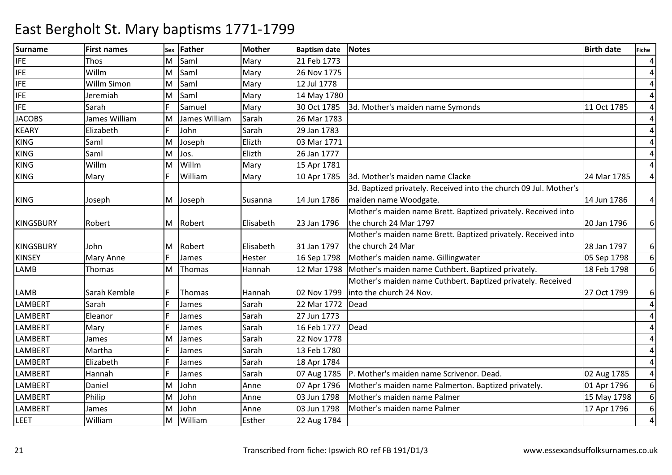| <b>Surname</b>   | <b>First names</b> | <b>Sex</b> | <b>Father</b> | <b>Mother</b> | <b>Baptism date</b> | <b>Notes</b>                                                      | <b>Birth date</b> | <b>Fiche</b>    |
|------------------|--------------------|------------|---------------|---------------|---------------------|-------------------------------------------------------------------|-------------------|-----------------|
| <b>IFE</b>       | Thos               | м          | Saml          | Mary          | 21 Feb 1773         |                                                                   |                   | $\overline{4}$  |
| <b>IFE</b>       | Willm              | M          | Saml          | Mary          | 26 Nov 1775         |                                                                   |                   | $\overline{4}$  |
| <b>IFE</b>       | Willm Simon        | M          | Saml          | Mary          | 12 Jul 1778         |                                                                   |                   | $\overline{4}$  |
| <b>IFE</b>       | Jeremiah           | M          | Saml          | Mary          | 14 May 1780         |                                                                   |                   | 4               |
| <b>IFE</b>       | Sarah              |            | Samuel        | Mary          | 30 Oct 1785         | 3d. Mother's maiden name Symonds                                  | 11 Oct 1785       | $\overline{4}$  |
| <b>JACOBS</b>    | James William      | M          | James William | Sarah         | 26 Mar 1783         |                                                                   |                   | $\overline{4}$  |
| <b>KEARY</b>     | Elizabeth          |            | John          | Sarah         | 29 Jan 1783         |                                                                   |                   | $\overline{4}$  |
| <b>KING</b>      | Saml               | M          | Joseph        | Elizth        | 03 Mar 1771         |                                                                   |                   | 4               |
| <b>KING</b>      | Saml               | M          | Jos.          | Elizth        | 26 Jan 1777         |                                                                   |                   | 4               |
| <b>KING</b>      | Willm              | м          | Willm         | Mary          | 15 Apr 1781         |                                                                   |                   | $\overline{4}$  |
| <b>KING</b>      | Mary               |            | William       | Mary          | 10 Apr 1785         | 3d. Mother's maiden name Clacke                                   | 24 Mar 1785       | $\overline{4}$  |
|                  |                    |            |               |               |                     | 3d. Baptized privately. Received into the church 09 Jul. Mother's |                   |                 |
| <b>KING</b>      | Joseph             |            | M Joseph      | Susanna       | 14 Jun 1786         | maiden name Woodgate.                                             | 14 Jun 1786       | $\vert 4 \vert$ |
|                  |                    |            |               |               |                     | Mother's maiden name Brett. Baptized privately. Received into     |                   |                 |
| <b>KINGSBURY</b> | Robert             |            | M Robert      | Elisabeth     | 23 Jan 1796         | the church 24 Mar 1797                                            | 20 Jan 1796       | $6 \mid$        |
|                  |                    |            |               |               |                     | Mother's maiden name Brett. Baptized privately. Received into     |                   |                 |
| <b>KINGSBURY</b> | John               |            | M Robert      | Elisabeth     | 31 Jan 1797         | the church 24 Mar                                                 | 28 Jan 1797       | $6 \mid$        |
| <b>KINSEY</b>    | <b>Mary Anne</b>   |            | James         | Hester        | 16 Sep 1798         | Mother's maiden name. Gillingwater                                | 05 Sep 1798       | $6 \mid$        |
| <b>LAMB</b>      | Thomas             | M          | Thomas        | Hannah        | 12 Mar 1798         | Mother's maiden name Cuthbert. Baptized privately.                | 18 Feb 1798       | 6 <sup>1</sup>  |
|                  |                    |            |               |               |                     | Mother's maiden name Cuthbert. Baptized privately. Received       |                   |                 |
| <b>LAMB</b>      | Sarah Kemble       |            | Thomas        | Hannah        | 02 Nov 1799         | into the church 24 Nov.                                           | 27 Oct 1799       | $6 \mid$        |
| <b>LAMBERT</b>   | Sarah              |            | James         | Sarah         | 22 Mar 1772         | Dead                                                              |                   | $\overline{4}$  |
| <b>LAMBERT</b>   | Eleanor            |            | James         | Sarah         | 27 Jun 1773         |                                                                   |                   | $\overline{4}$  |
| <b>LAMBERT</b>   | Mary               |            | James         | Sarah         | 16 Feb 1777         | Dead                                                              |                   | $\overline{4}$  |
| <b>LAMBERT</b>   | James              | м          | James         | Sarah         | 22 Nov 1778         |                                                                   |                   | $\overline{4}$  |
| <b>LAMBERT</b>   | Martha             |            | James         | Sarah         | 13 Feb 1780         |                                                                   |                   | 4               |
| <b>LAMBERT</b>   | Elizabeth          |            | James         | Sarah         | 18 Apr 1784         |                                                                   |                   | 4               |
| <b>LAMBERT</b>   | Hannah             |            | James         | Sarah         | 07 Aug 1785         | P. Mother's maiden name Scrivenor. Dead.                          | 02 Aug 1785       | 4               |
| <b>LAMBERT</b>   | Daniel             | M          | John          | Anne          | 07 Apr 1796         | Mother's maiden name Palmerton. Baptized privately.               | 01 Apr 1796       | $6 \mid$        |
| <b>LAMBERT</b>   | Philip             | M          | John          | Anne          | 03 Jun 1798         | Mother's maiden name Palmer                                       | 15 May 1798       | 6 <sup>1</sup>  |
| <b>LAMBERT</b>   | James              | M          | John          | Anne          | 03 Jun 1798         | Mother's maiden name Palmer                                       | 17 Apr 1796       | 6 <sup>1</sup>  |
| LEET             | William            | M          | William       | Esther        | 22 Aug 1784         |                                                                   |                   | $\overline{4}$  |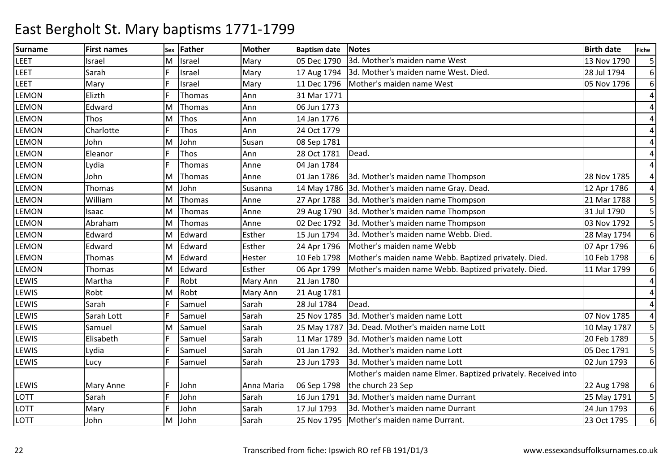| <b>Surname</b> | <b>First names</b> | <b>Sex</b> | <b>Father</b> | <b>Mother</b> | <b>Baptism date</b> | <b>Notes</b>                                                  | <b>Birth date</b> | Fiche          |
|----------------|--------------------|------------|---------------|---------------|---------------------|---------------------------------------------------------------|-------------------|----------------|
| LEET           | Israel             | M          | Israel        | Mary          | 05 Dec 1790         | 3d. Mother's maiden name West                                 | 13 Nov 1790       | 5 <sub>l</sub> |
| LEET           | Sarah              |            | Israel        | Mary          | 17 Aug 1794         | 3d. Mother's maiden name West. Died.                          | 28 Jul 1794       | $6 \mid$       |
| LEET           | Mary               |            | Israel        | Mary          | 11 Dec 1796         | Mother's maiden name West                                     | 05 Nov 1796       | $6 \mid$       |
| <b>LEMON</b>   | Elizth             |            | Thomas        | Ann           | 31 Mar 1771         |                                                               |                   | $\overline{a}$ |
| <b>LEMON</b>   | Edward             | M          | Thomas        | Ann           | 06 Jun 1773         |                                                               |                   | $\overline{4}$ |
| <b>LEMON</b>   | Thos               | M          | Thos          | Ann           | 14 Jan 1776         |                                                               |                   | $\overline{4}$ |
| <b>LEMON</b>   | Charlotte          |            | Thos          | Ann           | 24 Oct 1779         |                                                               |                   | 4              |
| <b>LEMON</b>   | John               | M          | John          | Susan         | 08 Sep 1781         |                                                               |                   | 4              |
| LEMON          | Eleanor            |            | Thos          | Ann           | 28 Oct 1781         | Dead.                                                         |                   | 4              |
| LEMON          | Lydia              |            | Thomas        | Anne          | 04 Jan 1784         |                                                               |                   | $\overline{4}$ |
| LEMON          | John               | M          | Thomas        | Anne          | 01 Jan 1786         | 3d. Mother's maiden name Thompson                             | 28 Nov 1785       | 4              |
| <b>LEMON</b>   | Thomas             | M          | John          | Susanna       |                     | 14 May 1786 3d. Mother's maiden name Gray. Dead.              | 12 Apr 1786       | 4              |
| LEMON          | William            | M          | Thomas        | Anne          | 27 Apr 1788         | 3d. Mother's maiden name Thompson                             | 21 Mar 1788       | 5 <sub>l</sub> |
| <b>LEMON</b>   | Isaac              | M          | Thomas        | Anne          | 29 Aug 1790         | 3d. Mother's maiden name Thompson                             | 31 Jul 1790       | 5 <sup>1</sup> |
| <b>LEMON</b>   | Abraham            | M          | Thomas        | Anne          | 02 Dec 1792         | 3d. Mother's maiden name Thompson                             | 03 Nov 1792       | 5 <sup>1</sup> |
| LEMON          | Edward             | M          | Edward        | Esther        | 15 Jun 1794         | 3d. Mother's maiden name Webb. Died.                          | 28 May 1794       | $6 \mid$       |
| LEMON          | Edward             | M          | Edward        | Esther        | 24 Apr 1796         | Mother's maiden name Webb                                     | 07 Apr 1796       | $6 \mid$       |
| <b>LEMON</b>   | Thomas             | м          | Edward        | Hester        | 10 Feb 1798         | Mother's maiden name Webb. Baptized privately. Died.          | 10 Feb 1798       | $6 \mid$       |
| <b>LEMON</b>   | Thomas             | M          | Edward        | Esther        | 06 Apr 1799         | Mother's maiden name Webb. Baptized privately. Died.          | 11 Mar 1799       | 6 <sup>1</sup> |
| LEWIS          | Martha             |            | Robt          | Mary Ann      | 21 Jan 1780         |                                                               |                   | 4              |
| LEWIS          | Robt               | M          | Robt          | Mary Ann      | 21 Aug 1781         |                                                               |                   | $\overline{4}$ |
| <b>LEWIS</b>   | Sarah              |            | Samuel        | Sarah         | 28 Jul 1784         | Dead.                                                         |                   | $\overline{a}$ |
| <b>LEWIS</b>   | Sarah Lott         |            | Samuel        | Sarah         | 25 Nov 1785         | 3d. Mother's maiden name Lott                                 | 07 Nov 1785       | $\overline{4}$ |
| LEWIS          | Samuel             | M          | Samuel        | Sarah         | 25 May 1787         | 3d. Dead. Mother's maiden name Lott                           | 10 May 1787       | 5 <sub>l</sub> |
| LEWIS          | Elisabeth          |            | Samuel        | Sarah         | 11 Mar 1789         | 3d. Mother's maiden name Lott                                 | 20 Feb 1789       | 5 <sup>1</sup> |
| LEWIS          | Lydia              |            | Samuel        | Sarah         | 01 Jan 1792         | 3d. Mother's maiden name Lott                                 | 05 Dec 1791       | 5 <sub>l</sub> |
| <b>LEWIS</b>   | Lucy               |            | Samuel        | Sarah         | 23 Jun 1793         | 3d. Mother's maiden name Lott                                 | 02 Jun 1793       | $6 \mid$       |
|                |                    |            |               |               |                     | Mother's maiden name Elmer. Baptized privately. Received into |                   |                |
| <b>LEWIS</b>   | Mary Anne          |            | John          | Anna Maria    | 06 Sep 1798         | the church 23 Sep                                             | 22 Aug 1798       | 6 <sup>1</sup> |
| LOTT           | Sarah              |            | John          | Sarah         | 16 Jun 1791         | 3d. Mother's maiden name Durrant                              | 25 May 1791       | 5 <sup>1</sup> |
| LOTT           | Mary               |            | John          | Sarah         | 17 Jul 1793         | 3d. Mother's maiden name Durrant                              | 24 Jun 1793       | 6 <sup>1</sup> |
| LOTT           | John               | M          | John          | Sarah         | 25 Nov 1795         | Mother's maiden name Durrant.                                 | 23 Oct 1795       | $6 \mid$       |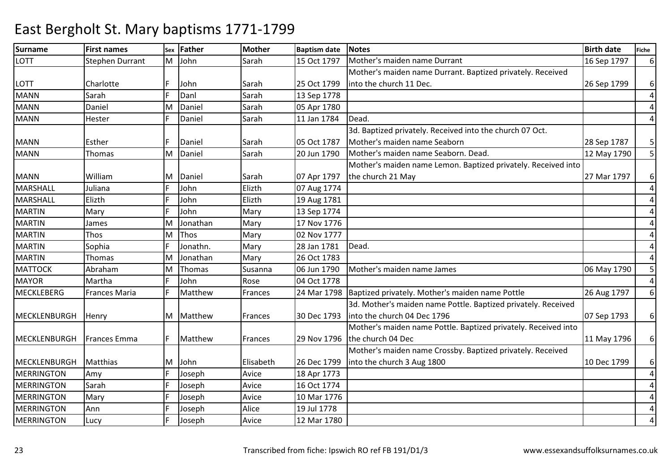| <b>Surname</b>      | <b>First names</b>     | Sex | <b>Father</b> | <b>Mother</b>   | <b>Baptism date</b> | <b>Notes</b>                                                   | <b>Birth date</b> | <b>Fiche</b>   |
|---------------------|------------------------|-----|---------------|-----------------|---------------------|----------------------------------------------------------------|-------------------|----------------|
| <b>LOTT</b>         | <b>Stephen Durrant</b> | M   | John          | Sarah           | 15 Oct 1797         | Mother's maiden name Durrant                                   | 16 Sep 1797       | $6 \mid$       |
|                     |                        |     |               |                 |                     | Mother's maiden name Durrant. Baptized privately. Received     |                   |                |
| LOTT                | Charlotte              |     | John          | Sarah           | 25 Oct 1799         | into the church 11 Dec.                                        | 26 Sep 1799       | $6 \mid$       |
| <b>MANN</b>         | Sarah                  |     | Danl          | Sarah           | 13 Sep 1778         |                                                                |                   | $\overline{a}$ |
| <b>MANN</b>         | Daniel                 | м   | Daniel        | Sarah           | 05 Apr 1780         |                                                                |                   | $\overline{4}$ |
| <b>MANN</b>         | Hester                 |     | Daniel        | Sarah           | 11 Jan 1784         | Dead.                                                          |                   | $\overline{4}$ |
|                     |                        |     |               |                 |                     | 3d. Baptized privately. Received into the church 07 Oct.       |                   |                |
| <b>MANN</b>         | Esther                 |     | Daniel        | Sarah           | 05 Oct 1787         | Mother's maiden name Seaborn                                   | 28 Sep 1787       | 5 <sup>1</sup> |
| <b>MANN</b>         | Thomas                 | M   | Daniel        | Sarah           | 20 Jun 1790         | Mother's maiden name Seaborn. Dead.                            | 12 May 1790       | 5 <sup>1</sup> |
|                     |                        |     |               |                 |                     | Mother's maiden name Lemon. Baptized privately. Received into  |                   |                |
| <b>MANN</b>         | William                | M   | Daniel        | Sarah           | 07 Apr 1797         | the church 21 May                                              | 27 Mar 1797       | $6 \mid$       |
| MARSHALL            | Juliana                |     | John          | Elizth          | 07 Aug 1774         |                                                                |                   | $\overline{4}$ |
| MARSHALL            | Elizth                 |     | John          | Elizth          | 19 Aug 1781         |                                                                |                   | $\overline{a}$ |
| <b>MARTIN</b>       | Mary                   |     | John          | Mary            | 13 Sep 1774         |                                                                |                   | $\overline{4}$ |
| <b>MARTIN</b>       | James                  | м   | Jonathan      | Mary            | 17 Nov 1776         |                                                                |                   | 4              |
| <b>MARTIN</b>       | Thos                   | м   | Thos          | Mary            | 02 Nov 1777         |                                                                |                   | 4              |
| <b>MARTIN</b>       | Sophia                 |     | Jonathn.      | Mary            | 28 Jan 1781         | Dead.                                                          |                   | $\overline{a}$ |
| <b>MARTIN</b>       | Thomas                 | м   | Jonathan      | Mary            | 26 Oct 1783         |                                                                |                   | $\overline{a}$ |
| <b>MATTOCK</b>      | Abraham                | м   | Thomas        | Susanna         | 06 Jun 1790         | Mother's maiden name James                                     | 06 May 1790       | 5 <sub>l</sub> |
| <b>MAYOR</b>        | Martha                 |     | John          | Rose            | 04 Oct 1778         |                                                                |                   | $\vert$        |
| MECKLEBERG          | <b>Frances Maria</b>   |     | Matthew       | Frances         | 24 Mar 1798         | Baptized privately. Mother's maiden name Pottle                | 26 Aug 1797       | $6 \mid$       |
|                     |                        |     |               |                 |                     | 3d. Mother's maiden name Pottle. Baptized privately. Received  |                   |                |
| <b>MECKLENBURGH</b> | Henry                  | M   | Matthew       | <b>IFrances</b> | 30 Dec 1793         | linto the church 04 Dec 1796                                   | 07 Sep 1793       | $6 \mid$       |
|                     |                        |     |               |                 |                     | Mother's maiden name Pottle. Baptized privately. Received into |                   |                |
| <b>MECKLENBURGH</b> | Frances Emma           | F.  | Matthew       | Frances         | 29 Nov 1796         | the church 04 Dec                                              | 11 May 1796       | $6 \mid$       |
|                     |                        |     |               |                 |                     | Mother's maiden name Crossby. Baptized privately. Received     |                   |                |
| MECKLENBURGH        | <b>Matthias</b>        | M   | John          | Elisabeth       | 26 Dec 1799         | into the church 3 Aug 1800                                     | 10 Dec 1799       | $6 \mid$       |
| <b>MERRINGTON</b>   | Amy                    |     | Joseph        | Avice           | 18 Apr 1773         |                                                                |                   | $\overline{4}$ |
| <b>MERRINGTON</b>   | Sarah                  |     | Joseph        | Avice           | 16 Oct 1774         |                                                                |                   | $\overline{4}$ |
| <b>MERRINGTON</b>   | Mary                   |     | Joseph        | Avice           | 10 Mar 1776         |                                                                |                   | 4              |
| <b>MERRINGTON</b>   | Ann                    |     | Joseph        | Alice           | 19 Jul 1778         |                                                                |                   | $\overline{4}$ |
| <b>MERRINGTON</b>   | Lucy                   |     | Joseph        | Avice           | 12 Mar 1780         |                                                                |                   | 4              |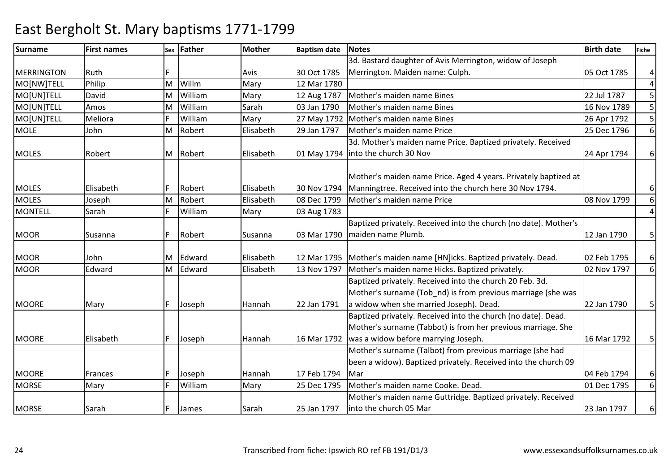### Surnamee First names Sex Father Mother Baptism date Notes Birth date Birth date Fiche MERRINGTON Ruth **F** F Avis 30 Oct 1785 M Willm Mary 12 Mar 1780<br>Mary 12 Mar 1780 3d. Bastard daughter of Avis Merrington, widow of Joseph Merrington. Maiden name: Culph. 05 Oct 1785 4 4MO[NW]TELL PhilipL David M5 MO[UN]TELLL Amos M William Mary 12 Aug 1787 Mother's maiden name Bines 22 Jul 1787 <sup>5</sup> MO[UN]TELLM William Sarah 03 Jan 1790 Mother's maiden name Bines 16 Nov 1789 <sup>5</sup> MO[UN]TELL Meliora <sup>F</sup> WilliamWilliam Mary 27 May 1792 Mother's maiden name Bines 26 Apr 1792 5<br>Robert Elisabeth 29 Jan 1797 Mother's maiden name Price 25 Dec 1796 6 MOLE JohnM Robert Elisabeth 29 Jan 1797 Mother's maiden name Price 25 Dec 1796 3d. Mother's maiden name Price. Baptized privately. Received 6MOLES Robert M Robert Elisabeth 01 May 1794into the church 30 Nov24 Apr 1794 6 MOLES Elisabeth F Robert Elisabeth 30 Nov 179408 Dec 1799 Mother's maiden name Price. Aged 4 years. Privately baptized at Manningtree. Received into the church here 30 Nov 1794.6 6MOLES JosephL Sarah MM Robert Flisabeth 108 Dec 1799 Mother's maiden name Price 1988 08 Nov 1799<br>F William Mary 103 Aug 1783 4MONTELLWilliam 03 Aug 1783 MOOR Susanna F Robert Susanna 03 Mar 1790Baptized privately. Received into the church (no date). Mother's maiden name Plumb.12 Jan 1790  $\vert$  5 MOOR John M Edward Elisabeth 12 Mar 179512 Mar 1795 Mother's maiden name [HN]icks. Baptized privately. Dead. 02 Feb 1795 6<br>13 Nov 1797 Mother's maiden name Hicks. Baptized privately. 02 Nov 1797 6 MOOR Edward M $\begin{array}{r} \text{Edward} \\ \text{Elisabeth} \end{array}$  13 Nov 1797 Mother's maiden name Hicks. Baptized privately. 6MOORE Mary F Joseph Hannah 22 Jan 1791Baptized privately. Received into the church 20 Feb. 3d. Mother's surname (Tob\_nd) is from previous marriage (she was a widow when she married Joseph). Dead.22 Jan 1790 5 MOORE Elisabeth F Joseph Hannah 16 Mar 1792Baptized privately. Received into the church (no date). Dead. Mother's surname (Tabbot) is from her previous marriage. She was a widow before marrying Joseph.16 Mar 1792 | 5 MOORE Frances F Joseph Hannah 17 Feb 179425 Dec 1795 Mother's surname (Talbot) from previous marriage (she had been a widow). Baptized privately. Received into the church 09 Mar04 Feb 1794 | 6 6**MORSE** E Mary F William Mary 25 Dec 1795 Mother's maiden name Cooke. Dead. 01 Dec 1795 MORSE Sarah F James Sarah 25 Jan 1797Mother's maiden name Guttridge. Baptized privately. Received into the church 05 Mar23 Jan 1797  $\vert$  6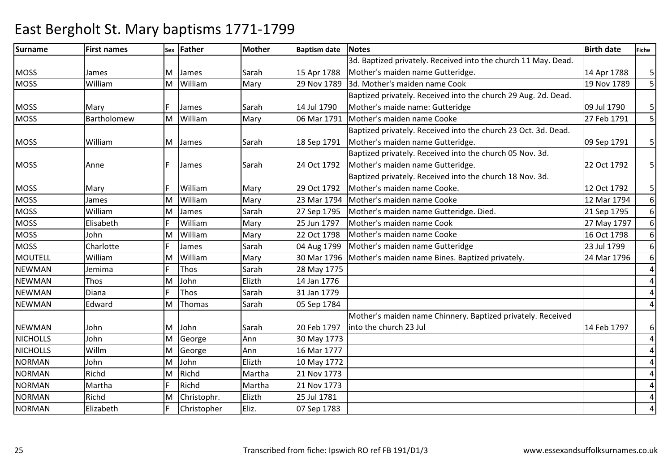#### Surnamee First names Sex Father Mother Baptism date Notes Birth date Birth date Fiche MOSS James M James Sarah 15 Apr 1788 29 Nov 1789 3d. Baptized privately. Received into the church 11 May. Dead. Mother's maiden name Gutteridge.14 Apr 1788 | 5 5 **MOSS**  WilliamM William Mary 29 Nov 1789 3d. Mother's maiden name Cook 19 Nov 1789 <sup>5</sup> Baptized privately. Received into the church 29 Aug. 2d. Dead. MOSS Mary F James Sarah 14 Jul 179006 Mar 1791 Mother's maide name: Gutteridge09 Jul 1790 5<br>27 Feb 1791 5  $\overline{\mathsf{5}}$ **MOSS**  BartholomewM William Mary 06 Mar 1791 Mother's maiden name Cooke 27 Feb 1791 <sup>5</sup> Baptized privately. Received into the church 23 Oct. 3d. Dead. MOSS Milliam M James Sarah 18 Sep 1791 Mother's maiden name Gutteridge.09 Sep 1791 | 5 MOSS Anne Reader IF James Sarah 124 Oct 1792 Baptized privately. Received into the church 05 Nov. 3d. Mother's maiden name Gutteridge.22 Oct 1792 | 5 MOSS Mary F William Mary 29 Oct 179223 Mar 1794 Baptized privately. Received into the church 18 Nov. 3d. Mother's maiden name Cooke.12 Oct 1792 | 5 6**MOSS**  James M William Mary 23 Mar 1794 Mother's maiden name Cooke 12 Mar 1794 6**MOSS**  WilliamS Elisabeth M James Sarah 27 Sep 1795 Mother's maiden name Gutteridge. Died. 21 Sep 1795 6**MOSS** William<br>William Mary 25 Jun 1797 Mother's maiden name Cook 27 Nay 1797 27 May 1797 27 May 1797 27 May 1797<br>Mary 22 Oct 1798 Mother's maiden name Cooke 2014 2020 16 Oct 1798 6**MOSS**  JohnS Charlotte MM William Mary 122 Oct 1798 Mother's maiden name Cooke 1798 16 Oct 1798<br>16 Oct 1798 Mother's maiden name Gutteridge 16 Oct 1799 23 Jul 1799 6MOSSe Sarah <mark>F James Sarah</mark> 04 Aug 1799 | Mother's maiden name Gutteridge | 23 Jul 1799 | 23 Jul 1799<br>30 Mar 1796 | Mother's maiden name Bines. Baptized privately. | 24 Mar 1796 6MOUTELL Williamlemima MM William Mary 30 Mar 1796 Mother's maiden name Bines. Baptized privately.<br>F Thos Sarah 28 May 1775 4NEWMANN Jemima F Thos Sarah 28 May 1775 NEWMANThos<br>Diana MM John Elizth 14 Jan 1776<br>F Thos Sarah 31 Jan 1779 4 4NEWMANN Diana F Thos Sarah 31 Jan 1779 4NEWMAN Edward MThomas Sarah 05 Sep 1784 NEWMAN John M John Sarah 20 Feb 1797M George Ann 30 May 1773 Mother's maiden name Chinnery. Baptized privately. Received into the church 23 Jul14 Feb 1797 | 6 **NICHOLLS**  JohnS Willm M4 4**NICHOLLS** N John MGeorge Ann 16 Mar 1777<br>John Elizth 10 May 1772 4NORMANMJohn Elizth 10 May 1772<br>Richd Martha 21 Nov 1773 4NORMANRichd<br>Martha MM Richd Martha 21 Nov 1773<br>F Richd Martha 21 Nov 1773 4NORMANN Martha F Richd Martha 21 Nov 1773 4NORMANRichd<br>Elizabeth MM Christophr. Elizth 25 Jul 1781<br>F Christopher Eliz. 07 Sep 1783 4NORMANN Elizabeth F Christopher Eliz. 107 Sep 1783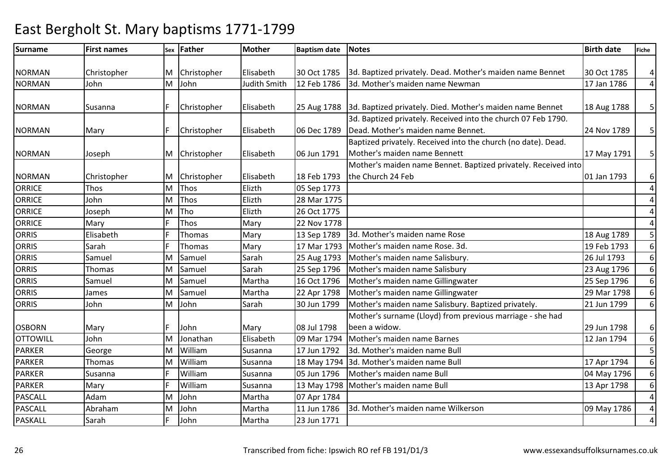| <b>Surname</b>  | <b>First names</b> |   | sex Father  | <b>Mother</b>       | <b>Baptism date</b> | <b>Notes</b>                                                   | <b>Birth date</b> | <b>Fiche</b>   |
|-----------------|--------------------|---|-------------|---------------------|---------------------|----------------------------------------------------------------|-------------------|----------------|
|                 |                    |   |             |                     |                     |                                                                |                   |                |
| <b>NORMAN</b>   | Christopher        | M | Christopher | Elisabeth           | 30 Oct 1785         | 3d. Baptized privately. Dead. Mother's maiden name Bennet      | 30 Oct 1785       | $\overline{a}$ |
| <b>NORMAN</b>   | John               | Μ | John        | <b>Judith Smith</b> | 12 Feb 1786         | 3d. Mother's maiden name Newman                                | 17 Jan 1786       | $\overline{4}$ |
|                 |                    |   |             |                     |                     |                                                                |                   |                |
| <b>NORMAN</b>   | Susanna            |   | Christopher | Elisabeth           | 25 Aug 1788         | 3d. Baptized privately. Died. Mother's maiden name Bennet      | 18 Aug 1788       | 5 <sup>1</sup> |
|                 |                    |   |             |                     |                     | 3d. Baptized privately. Received into the church 07 Feb 1790.  |                   |                |
| <b>NORMAN</b>   | Mary               |   | Christopher | Elisabeth           | 06 Dec 1789         | Dead. Mother's maiden name Bennet.                             | 24 Nov 1789       | 5 <sup>1</sup> |
|                 |                    |   |             |                     |                     | Baptized privately. Received into the church (no date). Dead.  |                   |                |
| <b>NORMAN</b>   | Joseph             | M | Christopher | Elisabeth           | 06 Jun 1791         | Mother's maiden name Bennett                                   | 17 May 1791       | 5 <sup>1</sup> |
|                 |                    |   |             |                     |                     | Mother's maiden name Bennet. Baptized privately. Received into |                   |                |
| <b>NORMAN</b>   | Christopher        | M | Christopher | Elisabeth           | 18 Feb 1793         | the Church 24 Feb                                              | 01 Jan 1793       | $6 \mid$       |
| <b>ORRICE</b>   | Thos               | M | Thos        | Elizth              | 05 Sep 1773         |                                                                |                   | $\overline{4}$ |
| <b>ORRICE</b>   | John               | M | Thos        | Elizth              | 28 Mar 1775         |                                                                |                   | $\overline{a}$ |
| <b>ORRICE</b>   | Joseph             | M | Tho         | Elizth              | 26 Oct 1775         |                                                                |                   | $\overline{4}$ |
| <b>ORRICE</b>   | Mary               |   | Thos        | Mary                | 22 Nov 1778         |                                                                |                   | $\overline{4}$ |
| <b>ORRIS</b>    | Elisabeth          |   | Thomas      | Mary                | 13 Sep 1789         | 3d. Mother's maiden name Rose                                  | 18 Aug 1789       | 5 <sup>1</sup> |
| <b>ORRIS</b>    | Sarah              |   | Thomas      | Mary                | 17 Mar 1793         | Mother's maiden name Rose. 3d.                                 | 19 Feb 1793       | $6 \mid$       |
| <b>ORRIS</b>    | Samuel             | M | Samuel      | Sarah               | 25 Aug 1793         | Mother's maiden name Salisbury.                                | 26 Jul 1793       | $6 \mid$       |
| <b>ORRIS</b>    | <b>Thomas</b>      | M | Samuel      | Sarah               | 25 Sep 1796         | Mother's maiden name Salisbury                                 | 23 Aug 1796       | $6 \mid$       |
| <b>ORRIS</b>    | Samuel             | M | Samuel      | Martha              | 16 Oct 1796         | Mother's maiden name Gillingwater                              | 25 Sep 1796       | $6 \mid$       |
| <b>ORRIS</b>    | James              | M | Samuel      | Martha              | 22 Apr 1798         | Mother's maiden name Gillingwater                              | 29 Mar 1798       | $6 \mid$       |
| <b>ORRIS</b>    | John               | Μ | John        | Sarah               | 30 Jun 1799         | Mother's maiden name Salisbury. Baptized privately.            | 21 Jun 1799       | $6 \mid$       |
|                 |                    |   |             |                     |                     | Mother's surname (Lloyd) from previous marriage - she had      |                   |                |
| <b>OSBORN</b>   | Mary               |   | John        | Mary                | 08 Jul 1798         | been a widow.                                                  | 29 Jun 1798       | $6 \mid$       |
| <b>OTTOWILL</b> | John               | M | Jonathan    | Elisabeth           | 09 Mar 1794         | Mother's maiden name Barnes                                    | 12 Jan 1794       | $6 \mid$       |
| <b>PARKER</b>   | George             | M | William     | Susanna             | 17 Jun 1792         | 3d. Mother's maiden name Bull                                  |                   | 5 <sub>l</sub> |
| <b>PARKER</b>   | Thomas             | M | William     | Susanna             |                     | 18 May 1794 3d. Mother's maiden name Bull                      | 17 Apr 1794       | 6 <sup>1</sup> |
| <b>PARKER</b>   | Susanna            |   | William     | Susanna             | 05 Jun 1796         | Mother's maiden name Bull                                      | 04 May 1796       | $6 \mid$       |
| <b>PARKER</b>   | Mary               |   | William     | Susanna             |                     | 13 May 1798 Mother's maiden name Bull                          | 13 Apr 1798       | 6 <sup>1</sup> |
| PASCALL         | Adam               | Μ | John        | Martha              | 07 Apr 1784         |                                                                |                   | $\overline{4}$ |
| <b>PASCALL</b>  | Abraham            | M | John        | Martha              | 11 Jun 1786         | 3d. Mother's maiden name Wilkerson                             | 09 May 1786       | $\overline{a}$ |
| <b>PASKALL</b>  | Sarah              |   | John        | Martha              | 23 Jun 1771         |                                                                |                   | $\overline{4}$ |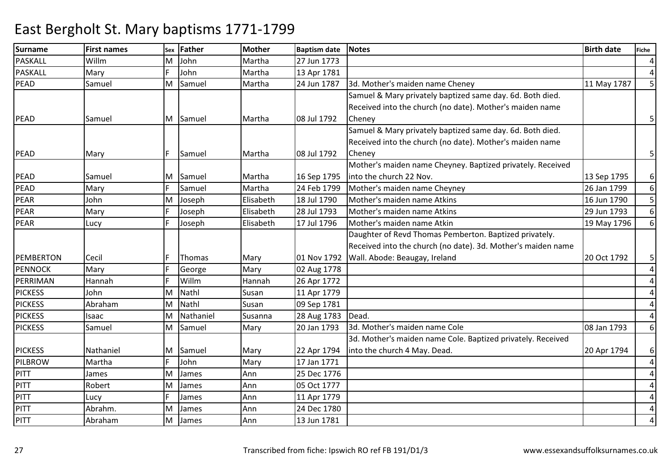| Surname        | <b>First names</b> | Sex | <b>Father</b> | <b>Mother</b> | <b>Baptism date</b> | Notes                                                        | <b>Birth date</b> | <b>Fiche</b>   |
|----------------|--------------------|-----|---------------|---------------|---------------------|--------------------------------------------------------------|-------------------|----------------|
| <b>PASKALL</b> | Willm              | М   | John          | Martha        | 27 Jun 1773         |                                                              |                   | $\overline{4}$ |
| <b>PASKALL</b> | Mary               |     | John          | Martha        | 13 Apr 1781         |                                                              |                   | $\overline{4}$ |
| PEAD           | Samuel             | M   | Samuel        | Martha        | 24 Jun 1787         | 3d. Mother's maiden name Cheney                              | 11 May 1787       | 5 <sub>l</sub> |
|                |                    |     |               |               |                     | Samuel & Mary privately baptized same day. 6d. Both died.    |                   |                |
|                |                    |     |               |               |                     | Received into the church (no date). Mother's maiden name     |                   |                |
| PEAD           | Samuel             |     | M Samuel      | Martha        | 08 Jul 1792         | Cheney                                                       |                   | 5 <sup>1</sup> |
|                |                    |     |               |               |                     | Samuel & Mary privately baptized same day. 6d. Both died.    |                   |                |
|                |                    |     |               |               |                     | Received into the church (no date). Mother's maiden name     |                   |                |
| PEAD           | Mary               | F.  | Samuel        | Martha        | 08 Jul 1792         | Cheney                                                       |                   | 5 <sub>l</sub> |
|                |                    |     |               |               |                     | Mother's maiden name Cheyney. Baptized privately. Received   |                   |                |
| PEAD           | Samuel             |     | M Samuel      | Martha        | 16 Sep 1795         | into the church 22 Nov.                                      | 13 Sep 1795       | 6 <sup>1</sup> |
| PEAD           | Mary               |     | Samuel        | Martha        | 24 Feb 1799         | Mother's maiden name Cheyney                                 | 26 Jan 1799       | 6 <sup>1</sup> |
| PEAR           | John               | M   | Joseph        | Elisabeth     | 18 Jul 1790         | Mother's maiden name Atkins                                  | 16 Jun 1790       | 5 <sup>1</sup> |
| PEAR           | Mary               |     | Joseph        | Elisabeth     | 28 Jul 1793         | Mother's maiden name Atkins                                  | 29 Jun 1793       | $6 \mid$       |
| <b>PEAR</b>    | Lucy               |     | Joseph        | Elisabeth     | 17 Jul 1796         | Mother's maiden name Atkin                                   | 19 May 1796       | $6 \mid$       |
|                |                    |     |               |               |                     | Daughter of Revd Thomas Pemberton. Baptized privately.       |                   |                |
|                |                    |     |               |               |                     | Received into the church (no date). 3d. Mother's maiden name |                   |                |
| PEMBERTON      | Cecil              |     | Thomas        | Mary          | 01 Nov 1792         | Wall. Abode: Beaugay, Ireland                                | 20 Oct 1792       | 5 <sup>1</sup> |
| <b>PENNOCK</b> | Mary               |     | George        | Mary          | 02 Aug 1778         |                                                              |                   | $\vert$        |
| PERRIMAN       | Hannah             |     | Willm         | Hannah        | 26 Apr 1772         |                                                              |                   | $\overline{4}$ |
| <b>PICKESS</b> | John               | м   | Nathl         | Susan         | 11 Apr 1779         |                                                              |                   | $\overline{4}$ |
| <b>PICKESS</b> | Abraham            | M   | Nathl         | Susan         | 09 Sep 1781         |                                                              |                   | $\overline{a}$ |
| <b>PICKESS</b> | Isaac              | M   | Nathaniel     | Susanna       | 28 Aug 1783         | Dead.                                                        |                   | $\overline{a}$ |
| <b>PICKESS</b> | Samuel             | M   | Samuel        | Mary          | 20 Jan 1793         | 3d. Mother's maiden name Cole                                | 08 Jan 1793       | 6 <sup>1</sup> |
|                |                    |     |               |               |                     | 3d. Mother's maiden name Cole. Baptized privately. Received  |                   |                |
| <b>PICKESS</b> | Nathaniel          | M   | Samuel        | Mary          | 22 Apr 1794         | into the church 4 May. Dead.                                 | 20 Apr 1794       | $6 \mid$       |
| <b>PILBROW</b> | Martha             |     | John          | Mary          | 17 Jan 1771         |                                                              |                   | $\overline{a}$ |
| PITT           | James              | M   | James         | Ann           | 25 Dec 1776         |                                                              |                   | $\overline{4}$ |
| PITT           | Robert             | M   | James         | Ann           | 05 Oct 1777         |                                                              |                   | $\overline{4}$ |
| PITT           | Lucy               |     | James         | Ann           | 11 Apr 1779         |                                                              |                   | $\overline{4}$ |
| PITT           | Abrahm.            | M   | James         | Ann           | 24 Dec 1780         |                                                              |                   | $\overline{4}$ |
| PITT           | Abraham            | M   | James         | Ann           | 13 Jun 1781         |                                                              |                   | $\overline{4}$ |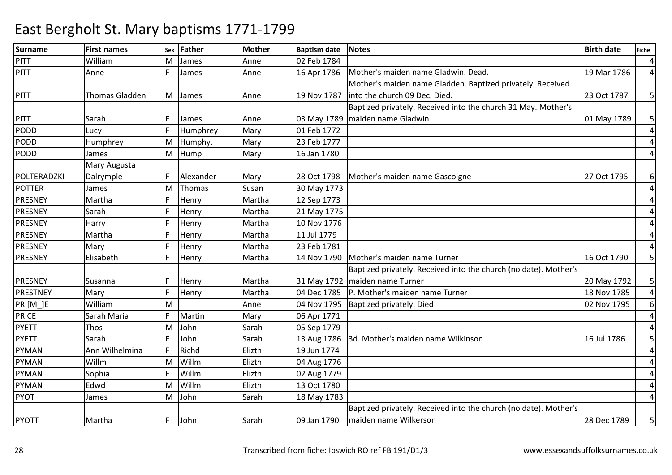| Surname        | <b>First names</b> | Sex | <b>Father</b> | <b>Mother</b> | <b>Baptism date</b> | <b>Notes</b>                                                     | <b>Birth date</b> | <b>Fiche</b>            |
|----------------|--------------------|-----|---------------|---------------|---------------------|------------------------------------------------------------------|-------------------|-------------------------|
| <b>PITT</b>    | William            | м   | James         | Anne          | 02 Feb 1784         |                                                                  |                   | $\overline{a}$          |
| PITT           | Anne               |     | James         | Anne          | 16 Apr 1786         | Mother's maiden name Gladwin. Dead.                              | 19 Mar 1786       | $\overline{4}$          |
|                |                    |     |               |               |                     | Mother's maiden name Gladden. Baptized privately. Received       |                   |                         |
| PITT           | Thomas Gladden     | M   | James         | Anne          | 19 Nov 1787         | into the church 09 Dec. Died.                                    | 23 Oct 1787       | 5 <sup>1</sup>          |
|                |                    |     |               |               |                     | Baptized privately. Received into the church 31 May. Mother's    |                   |                         |
| PITT           | Sarah              |     | James         | Anne          | 03 May 1789         | maiden name Gladwin                                              | 01 May 1789       | 5 <sup>1</sup>          |
| PODD           | Lucy               |     | Humphrey      | Mary          | 01 Feb 1772         |                                                                  |                   | $\overline{4}$          |
| <b>PODD</b>    | Humphrey           | м   | Humphy.       | Mary          | 23 Feb 1777         |                                                                  |                   | $\overline{a}$          |
| <b>PODD</b>    | James              | M   | Hump          | Mary          | 16 Jan 1780         |                                                                  |                   | $\overline{a}$          |
|                | Mary Augusta       |     |               |               |                     |                                                                  |                   |                         |
| POLTERADZKI    | Dalrymple          |     | Alexander     | Mary          | 28 Oct 1798         | Mother's maiden name Gascoigne                                   | 27 Oct 1795       | 6                       |
| <b>POTTER</b>  | James              | M   | Thomas        | Susan         | 30 May 1773         |                                                                  |                   | $\overline{4}$          |
| PRESNEY        | Martha             |     | Henry         | Martha        | 12 Sep 1773         |                                                                  |                   | $\overline{a}$          |
| PRESNEY        | Sarah              |     | Henry         | Martha        | 21 May 1775         |                                                                  |                   | 4                       |
| PRESNEY        | Harry              |     | Henry         | Martha        | 10 Nov 1776         |                                                                  |                   | 4                       |
| PRESNEY        | Martha             |     | Henry         | Martha        | 11 Jul 1779         |                                                                  |                   | 4                       |
| PRESNEY        | Mary               |     | Henry         | Martha        | 23 Feb 1781         |                                                                  |                   | 4                       |
| <b>PRESNEY</b> | Elisabeth          |     | Henry         | Martha        | 14 Nov 1790         | Mother's maiden name Turner                                      | 16 Oct 1790       | 5                       |
|                |                    |     |               |               |                     | Baptized privately. Received into the church (no date). Mother's |                   |                         |
| PRESNEY        | Susanna            |     | Henry         | Martha        | 31 May 1792         | maiden name Turner                                               | 20 May 1792       | 5 <sub>l</sub>          |
| PRESTNEY       | Mary               |     | Henry         | Martha        | 04 Dec 1785         | P. Mother's maiden name Turner                                   | 18 Nov 1785       | 4                       |
| PRI[M_]E       | William            | M   |               | Anne          | 04 Nov 1795         | Baptized privately. Died                                         | 02 Nov 1795       | $6 \mid$                |
| <b>PRICE</b>   | Sarah Maria        |     | Martin        | Mary          | 06 Apr 1771         |                                                                  |                   | $\overline{4}$          |
| <b>PYETT</b>   | Thos               | M   | John          | Sarah         | 05 Sep 1779         |                                                                  |                   | $\overline{4}$          |
| <b>PYETT</b>   | Sarah              |     | John          | Sarah         | 13 Aug 1786         | 3d. Mother's maiden name Wilkinson                               | 16 Jul 1786       | 5                       |
| <b>PYMAN</b>   | Ann Wilhelmina     |     | Richd         | Elizth        | 19 Jun 1774         |                                                                  |                   | 4                       |
| <b>PYMAN</b>   | Willm              | м   | Willm         | Elizth        | 04 Aug 1776         |                                                                  |                   | 4                       |
| <b>PYMAN</b>   | Sophia             |     | Willm         | Elizth        | 02 Aug 1779         |                                                                  |                   | $\overline{\mathbf{4}}$ |
| <b>PYMAN</b>   | Edwd               | м   | Willm         | Elizth        | 13 Oct 1780         |                                                                  |                   | 4                       |
| <b>PYOT</b>    | James              | M   | John          | Sarah         | 18 May 1783         |                                                                  |                   | 4                       |
|                |                    |     |               |               |                     | Baptized privately. Received into the church (no date). Mother's |                   |                         |
| <b>PYOTT</b>   | Martha             | F.  | John          | Sarah         | 09 Jan 1790         | maiden name Wilkerson                                            | 28 Dec 1789       | 5 <sup>1</sup>          |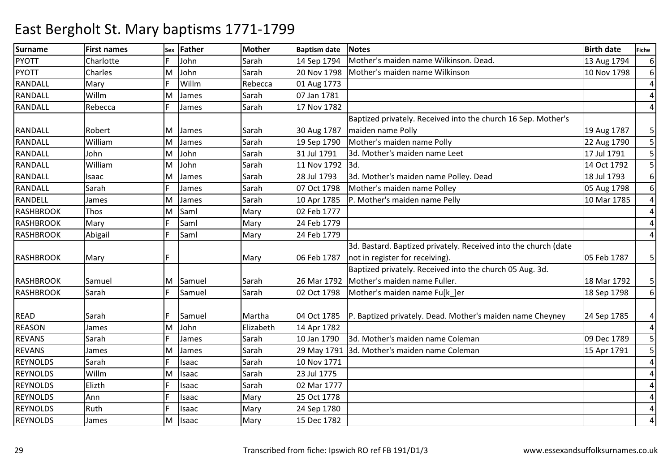| <b>Surname</b>   | <b>First names</b> | Sex | <b>Father</b> | <b>Mother</b> | <b>Baptism date</b> | <b>Notes</b>                                                    | <b>Birth date</b> | Fiche          |
|------------------|--------------------|-----|---------------|---------------|---------------------|-----------------------------------------------------------------|-------------------|----------------|
| <b>PYOTT</b>     | Charlotte          |     | John          | Sarah         | 14 Sep 1794         | Mother's maiden name Wilkinson. Dead.                           | 13 Aug 1794       | $6 \mid$       |
| <b>PYOTT</b>     | Charles            | M   | John          | Sarah         | 20 Nov 1798         | Mother's maiden name Wilkinson                                  | 10 Nov 1798       | $6 \mid$       |
| <b>RANDALL</b>   | Mary               |     | Willm         | Rebecca       | 01 Aug 1773         |                                                                 |                   | $\overline{4}$ |
| <b>RANDALL</b>   | Willm              | M   | James         | Sarah         | 07 Jan 1781         |                                                                 |                   | $\overline{a}$ |
| <b>RANDALL</b>   | Rebecca            |     | James         | Sarah         | 17 Nov 1782         |                                                                 |                   | $\overline{a}$ |
|                  |                    |     |               |               |                     | Baptized privately. Received into the church 16 Sep. Mother's   |                   |                |
| <b>RANDALL</b>   | Robert             | M   | James         | Sarah         | 30 Aug 1787         | maiden name Polly                                               | 19 Aug 1787       | 5              |
| <b>RANDALL</b>   | William            | M   | James         | Sarah         | 19 Sep 1790         | Mother's maiden name Polly                                      | 22 Aug 1790       | 5 <sub>l</sub> |
| <b>RANDALL</b>   | John               | M   | John          | Sarah         | 31 Jul 1791         | 3d. Mother's maiden name Leet                                   | 17 Jul 1791       | 5 <sub>l</sub> |
| <b>RANDALL</b>   | William            | M   | John          | Sarah         | 11 Nov 1792         | 3d.                                                             | 14 Oct 1792       | 5 <sup>1</sup> |
| RANDALL          | Isaac              | M   | James         | Sarah         | 28 Jul 1793         | 3d. Mother's maiden name Polley. Dead                           | 18 Jul 1793       | $6 \mid$       |
| RANDALL          | Sarah              |     | James         | Sarah         | 07 Oct 1798         | Mother's maiden name Polley                                     | 05 Aug 1798       | $6 \mid$       |
| <b>RANDELL</b>   | James              | M   | James         | Sarah         | 10 Apr 1785         | P. Mother's maiden name Pelly                                   | 10 Mar 1785       | $\overline{4}$ |
| <b>RASHBROOK</b> | Thos               | M   | Saml          | Mary          | 02 Feb 1777         |                                                                 |                   | $\pmb{4}$      |
| <b>RASHBROOK</b> | Mary               |     | Saml          | Mary          | 24 Feb 1779         |                                                                 |                   | $\overline{a}$ |
| <b>RASHBROOK</b> | Abigail            |     | Saml          | Mary          | 24 Feb 1779         |                                                                 |                   | 4              |
|                  |                    |     |               |               |                     | 3d. Bastard. Baptized privately. Received into the church (date |                   |                |
| <b>RASHBROOK</b> | Mary               |     |               | Mary          | 06 Feb 1787         | not in register for receiving).                                 | 05 Feb 1787       | 5 <sup>1</sup> |
|                  |                    |     |               |               |                     | Baptized privately. Received into the church 05 Aug. 3d.        |                   |                |
| <b>RASHBROOK</b> | Samuel             | M   | Samuel        | Sarah         | 26 Mar 1792         | Mother's maiden name Fuller.                                    | 18 Mar 1792       | 5 <sub>l</sub> |
| <b>RASHBROOK</b> | Sarah              |     | Samuel        | Sarah         | 02 Oct 1798         | Mother's maiden name Fu[k ]er                                   | 18 Sep 1798       | 6 <sup>1</sup> |
|                  |                    |     |               |               |                     |                                                                 |                   |                |
| <b>READ</b>      | Sarah              |     | Samuel        | Martha        | 04 Oct 1785         | P. Baptized privately. Dead. Mother's maiden name Cheyney       | 24 Sep 1785       | $\overline{4}$ |
| <b>REASON</b>    | James              | M   | John          | Elizabeth     | 14 Apr 1782         |                                                                 |                   | $\overline{4}$ |
| <b>REVANS</b>    | Sarah              |     | James         | Sarah         | 10 Jan 1790         | 3d. Mother's maiden name Coleman                                | 09 Dec 1789       | 5 <sup>1</sup> |
| <b>REVANS</b>    | James              | M   | James         | Sarah         | 29 May 1791         | 3d. Mother's maiden name Coleman                                | 15 Apr 1791       | 5 <sup>1</sup> |
| <b>REYNOLDS</b>  | Sarah              |     | Isaac         | Sarah         | 10 Nov 1771         |                                                                 |                   | $\overline{a}$ |
| <b>REYNOLDS</b>  | Willm              | M   | Isaac         | Sarah         | 23 Jul 1775         |                                                                 |                   | 4              |
| <b>REYNOLDS</b>  | Elizth             |     | Isaac         | Sarah         | 02 Mar 1777         |                                                                 |                   | $\overline{4}$ |
| <b>REYNOLDS</b>  | Ann                |     | Isaac         | Mary          | 25 Oct 1778         |                                                                 |                   | $\overline{a}$ |
| <b>REYNOLDS</b>  | Ruth               |     | Isaac         | Mary          | 24 Sep 1780         |                                                                 |                   | $\overline{a}$ |
| <b>REYNOLDS</b>  | James              | M   | Isaac         | Mary          | 15 Dec 1782         |                                                                 |                   | $\overline{4}$ |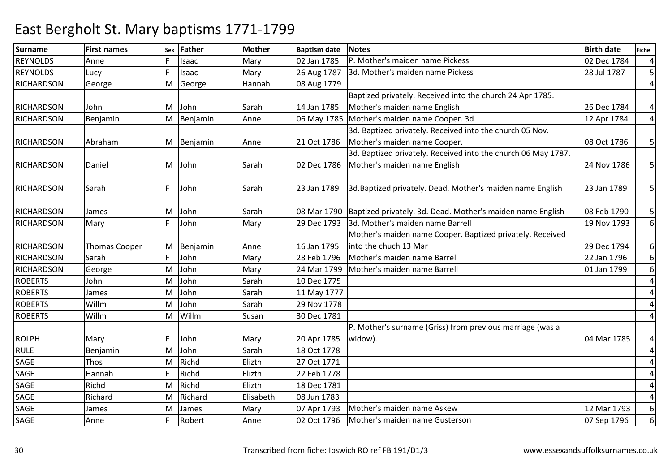| <b>Surname</b>    | <b>First names</b>   | Sex | <b>Father</b> | Mother    | <b>Baptism date</b> | <b>Notes</b>                                                             | <b>Birth date</b> | Fiche           |
|-------------------|----------------------|-----|---------------|-----------|---------------------|--------------------------------------------------------------------------|-------------------|-----------------|
| <b>REYNOLDS</b>   | Anne                 |     | Isaac         | Mary      | 02 Jan 1785         | P. Mother's maiden name Pickess                                          | 02 Dec 1784       | $\overline{4}$  |
| <b>REYNOLDS</b>   | Lucy                 |     | Isaac         | Mary      | 26 Aug 1787         | 3d. Mother's maiden name Pickess                                         | 28 Jul 1787       | 5 <sup>1</sup>  |
| <b>RICHARDSON</b> | George               | M   | George        | Hannah    | 08 Aug 1779         |                                                                          |                   | $\overline{a}$  |
|                   |                      |     |               |           |                     | Baptized privately. Received into the church 24 Apr 1785.                |                   |                 |
| <b>RICHARDSON</b> | John                 | м   | John          | Sarah     | 14 Jan 1785         | Mother's maiden name English                                             | 26 Dec 1784       | 4               |
| <b>RICHARDSON</b> | Benjamin             | Μ   | Benjamin      | Anne      |                     | 06 May 1785 Mother's maiden name Cooper. 3d.                             | 12 Apr 1784       | $\vert 4 \vert$ |
|                   |                      |     |               |           |                     | 3d. Baptized privately. Received into the church 05 Nov.                 |                   |                 |
| <b>RICHARDSON</b> | Abraham              | M   | Benjamin      | Anne      | 21 Oct 1786         | Mother's maiden name Cooper.                                             | 08 Oct 1786       | 5 <sup>1</sup>  |
|                   |                      |     |               |           |                     | 3d. Baptized privately. Received into the church 06 May 1787.            |                   |                 |
| <b>RICHARDSON</b> | Daniel               | M   | John          | Sarah     | 02 Dec 1786         | Mother's maiden name English                                             | 24 Nov 1786       | 5 <sup>1</sup>  |
|                   |                      |     |               |           |                     |                                                                          |                   |                 |
| <b>RICHARDSON</b> | Sarah                | F.  | John          | Sarah     | 23 Jan 1789         | 3d. Baptized privately. Dead. Mother's maiden name English               | 23 Jan 1789       | 5 <sup>1</sup>  |
|                   |                      |     |               |           |                     |                                                                          |                   |                 |
| <b>RICHARDSON</b> | James                | м   | John          | Sarah     |                     | 08 Mar 1790   Baptized privately. 3d. Dead. Mother's maiden name English | 08 Feb 1790       | 5 <sup>1</sup>  |
| <b>RICHARDSON</b> | Mary                 |     | John          | Mary      | 29 Dec 1793         | 3d. Mother's maiden name Barrell                                         | 19 Nov 1793       | $6 \mid$        |
|                   |                      |     |               |           |                     | Mother's maiden name Cooper. Baptized privately. Received                |                   |                 |
| <b>RICHARDSON</b> | <b>Thomas Cooper</b> | M   | Benjamin      | Anne      | 16 Jan 1795         | into the chuch 13 Mar                                                    | 29 Dec 1794       | $6 \mid$        |
| <b>RICHARDSON</b> | Sarah                |     | John          | Mary      | 28 Feb 1796         | Mother's maiden name Barrel                                              | 22 Jan 1796       | $6 \mid$        |
| <b>RICHARDSON</b> | George               | M   | John          | Mary      | 24 Mar 1799         | Mother's maiden name Barrell                                             | 01 Jan 1799       | 6 <sup>1</sup>  |
| <b>ROBERTS</b>    | John                 | M   | John          | Sarah     | 10 Dec 1775         |                                                                          |                   | $\overline{4}$  |
| <b>ROBERTS</b>    | James                | M   | John          | Sarah     | 11 May 1777         |                                                                          |                   | $\overline{4}$  |
| <b>ROBERTS</b>    | Willm                | M   | John          | Sarah     | 29 Nov 1778         |                                                                          |                   | 4               |
| <b>ROBERTS</b>    | Willm                | M   | Willm         | Susan     | 30 Dec 1781         |                                                                          |                   | $\overline{4}$  |
|                   |                      |     |               |           |                     | P. Mother's surname (Griss) from previous marriage (was a                |                   |                 |
| <b>ROLPH</b>      | Mary                 |     | John          | Mary      | 20 Apr 1785         | widow).                                                                  | 04 Mar 1785       | $\overline{4}$  |
| <b>RULE</b>       | Benjamin             | M   | John          | Sarah     | 18 Oct 1778         |                                                                          |                   | $\overline{a}$  |
| SAGE              | Thos                 | м   | Richd         | Elizth    | 27 Oct 1771         |                                                                          |                   | $\overline{a}$  |
| <b>SAGE</b>       | Hannah               |     | Richd         | Elizth    | 22 Feb 1778         |                                                                          |                   | $\overline{4}$  |
| SAGE              | Richd                | M   | Richd         | Elizth    | 18 Dec 1781         |                                                                          |                   | $\overline{a}$  |
| SAGE              | Richard              | M   | Richard       | Elisabeth | 08 Jun 1783         |                                                                          |                   | $\overline{4}$  |
| SAGE              | James                | M   | James         | Mary      | 07 Apr 1793         | Mother's maiden name Askew                                               | 12 Mar 1793       | $6 \mid$        |
| SAGE              | Anne                 |     | Robert        | Anne      | 02 Oct 1796         | Mother's maiden name Gusterson                                           | 07 Sep 1796       | $6 \mid$        |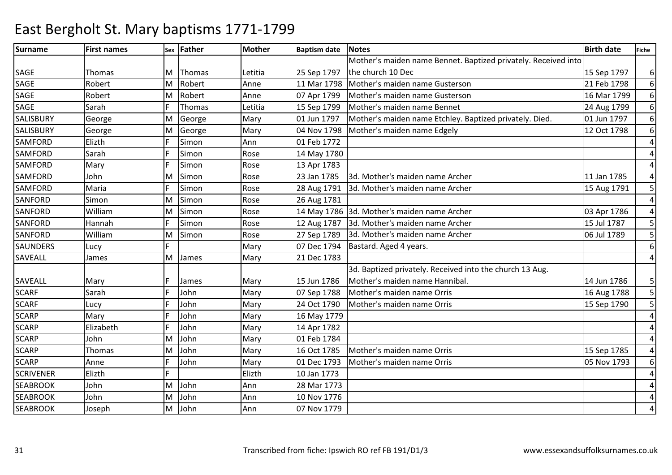| <b>Surname</b>   | <b>First names</b> |    | sex Father | Mother  | <b>Baptism date</b> | Notes                                                          | <b>Birth date</b> | <b>Fiche</b>   |
|------------------|--------------------|----|------------|---------|---------------------|----------------------------------------------------------------|-------------------|----------------|
|                  |                    |    |            |         |                     | Mother's maiden name Bennet. Baptized privately. Received into |                   |                |
| SAGE             | Thomas             | M  | Thomas     | Letitia | 25 Sep 1797         | the church 10 Dec                                              | 15 Sep 1797       | $6 \mid$       |
| <b>SAGE</b>      | Robert             | M  | Robert     | Anne    | 11 Mar 1798         | Mother's maiden name Gusterson                                 | 21 Feb 1798       | $6 \mid$       |
| SAGE             | Robert             | M  | Robert     | Anne    | 07 Apr 1799         | Mother's maiden name Gusterson                                 | 16 Mar 1799       | $6 \mid$       |
| <b>SAGE</b>      | Sarah              |    | Thomas     | Letitia | 15 Sep 1799         | Mother's maiden name Bennet                                    | 24 Aug 1799       | $6 \mid$       |
| SALISBURY        | George             | M  | George     | Mary    | 01 Jun 1797         | Mother's maiden name Etchley. Baptized privately. Died.        | 01 Jun 1797       | 6 <sup>1</sup> |
| <b>SALISBURY</b> | George             | M  | George     | Mary    | 04 Nov 1798         | Mother's maiden name Edgely                                    | 12 Oct 1798       | $6 \mid$       |
| <b>SAMFORD</b>   | Elizth             |    | Simon      | Ann     | 01 Feb 1772         |                                                                |                   | $\overline{a}$ |
| <b>SAMFORD</b>   | Sarah              |    | Simon      | Rose    | 14 May 1780         |                                                                |                   | 4              |
| <b>SAMFORD</b>   | Mary               |    | Simon      | Rose    | 13 Apr 1783         |                                                                |                   | 4              |
| <b>SAMFORD</b>   | John               | Μ  | Simon      | Rose    | 23 Jan 1785         | 3d. Mother's maiden name Archer                                | 11 Jan 1785       | $\overline{a}$ |
| <b>SAMFORD</b>   | Maria              |    | Simon      | Rose    | 28 Aug 1791         | 3d. Mother's maiden name Archer                                | 15 Aug 1791       | 5              |
| <b>SANFORD</b>   | Simon              | M  | Simon      | Rose    | 26 Aug 1781         |                                                                |                   | $\overline{a}$ |
| <b>SANFORD</b>   | William            | M  | Simon      | Rose    |                     | 14 May 1786 3d. Mother's maiden name Archer                    | 03 Apr 1786       | $\overline{4}$ |
| <b>SANFORD</b>   | Hannah             |    | Simon      | Rose    | 12 Aug 1787         | 3d. Mother's maiden name Archer                                | 15 Jul 1787       | 5              |
| <b>SANFORD</b>   | William            | Μ  | Simon      | Rose    | 27 Sep 1789         | 3d. Mother's maiden name Archer                                | 06 Jul 1789       | 5 <sup>1</sup> |
| <b>SAUNDERS</b>  | Lucy               | E. |            | Mary    | 07 Dec 1794         | Bastard. Aged 4 years.                                         |                   | $6 \mid$       |
| <b>SAVEALL</b>   | James              | M  | James      | Mary    | 21 Dec 1783         |                                                                |                   | $\overline{a}$ |
|                  |                    |    |            |         |                     | 3d. Baptized privately. Received into the church 13 Aug.       |                   |                |
| <b>SAVEALL</b>   | Mary               |    | James      | Mary    | 15 Jun 1786         | Mother's maiden name Hannibal.                                 | 14 Jun 1786       | 5 <sub>l</sub> |
| <b>SCARF</b>     | Sarah              |    | John       | Mary    | 07 Sep 1788         | Mother's maiden name Orris                                     | 16 Aug 1788       | 5 <sup>1</sup> |
| <b>SCARF</b>     | Lucy               |    | John       | Mary    | 24 Oct 1790         | Mother's maiden name Orris                                     | 15 Sep 1790       | 5 <sub>l</sub> |
| <b>SCARP</b>     | Mary               |    | John       | Mary    | 16 May 1779         |                                                                |                   | $\overline{4}$ |
| <b>SCARP</b>     | Elizabeth          |    | John       | Mary    | 14 Apr 1782         |                                                                |                   | $\overline{4}$ |
| <b>SCARP</b>     | John               | M  | John       | Mary    | 01 Feb 1784         |                                                                |                   | 4              |
| <b>SCARP</b>     | Thomas             | M  | John       | Mary    | 16 Oct 1785         | Mother's maiden name Orris                                     | 15 Sep 1785       | 4              |
| <b>SCARP</b>     | Anne               |    | John       | Mary    | 01 Dec 1793         | Mother's maiden name Orris                                     | 05 Nov 1793       | $6 \mid$       |
| <b>SCRIVENER</b> | Elizth             |    |            | Elizth  | 10 Jan 1773         |                                                                |                   | $\overline{4}$ |
| <b>SEABROOK</b>  | John               | M  | John       | Ann     | 28 Mar 1773         |                                                                |                   | $\overline{4}$ |
| <b>SEABROOK</b>  | John               | M  | John       | Ann     | 10 Nov 1776         |                                                                |                   | $\overline{a}$ |
| <b>SEABROOK</b>  | Joseph             | м  | John       | Ann     | 07 Nov 1779         |                                                                |                   | 4              |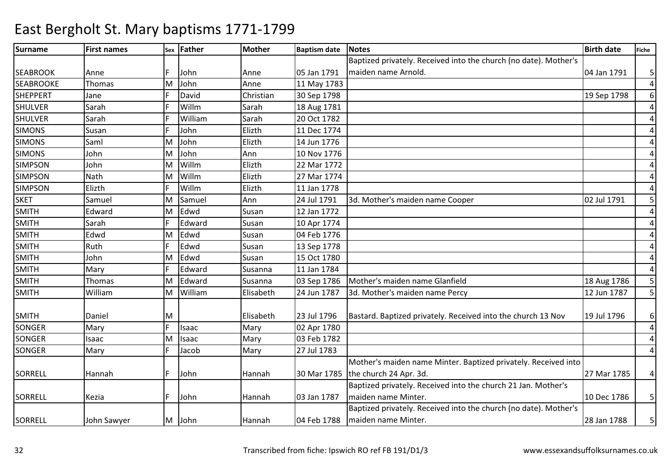#### Surnamee First names Sex Father Mother Baptism date Notes Birth date Birth date Fiche SEABROOK Anne IF John Anne 105 Jan 1791 M John Anne 11 May 1783 Baptized privately. Received into the church (no date). Mother's maiden name Arnold.04 Jan 1791 | 5 4**SEABROOKE**  Thomas M 6SHEPPERT JaneF David<br>F Willm d Christian 30 Sep 1798 19 Sep 1798 19 Sep 1798 19 Sep 1798 19 Sep 1798 19 Sep 1798 19 Sep 1798 19 Sep 1798 19 Sep 1798 19 Sep 1798 19 Sep 1798 19 Sep 1798 19 Sep 1798 19 Sep 1798 19 Sep 1798 19 Sep 1798 19 Sep 1798 19 Sep 4SHULVERR Sarah F Willm Willm Sarah 18 Aug 1781<br>William Sarah 20 Oct 1782 4SHULVERR Sarah F William Sarah 20 Oct 1782<br>Elizth 11 Dec 1774 4SIMONS Susan <sup>F</sup> John Elizth 11 Dec 1774 4SIMONS Saml MJohn Elizth 14 Jun 1776<br>John Ann 10 Nov 1776 4SIMONS JohnN John MJohn Jahn 10 Nov 1776<br>Willm Elizth 22 Mar 1772 4SIMPSONMWillm Elizth 22 Mar 1772<br>Willm Elizth 27 Mar 1774 4SIMPSONNath<br>Elizth MM Willm Elizth 27 Mar 1774<br>F Willm Elizth 11 Jan 1778 4SIMPSONN Elizth F Willm Willm Elizth 11 Jan 1778<br>Samuel Ann 24 Jul 1791 5 **SKET**  Samuel M Samuel Ann 24 Jul 1791 3d. Mother's maiden name Cooper 02 Jul 1791 <sup>5</sup> SMITHEdward<br>Sarah MM Edwd Susan 12 Jan 1772<br>F Edward Susan 10 Apr 1774 4 4SMITHH Sarah F Edward Susan 10 Apr 1774 4SMITHEdwd<br>Ruth MM Edwd Susan 04 Feb 1776<br>F Edwd Susan 13 Sep 1778 4SMITHH Ruth F Edwd Susan 13 Sep 1778 4SMITH John MM Edwd Susan 15 Oct 1780<br>F Edward Susanna 11 Jan 1784 4SMITHH Mary F Edward Susanna 11 Jan 1784 5 SMITH Thomas M Edward Susanna 03 Sep 1786 Mother's maiden name Glanfield 18 Aug 1786 <sup>5</sup> SMITH WilliamM3d. Mother's maiden name Percy SMITH Daniel M Elisabeth 23 Jul 179623 Jul 1796 Bastard. Baptized privately. Received into the church 13 Nov 19 Jul 1796 6 SONGERR Mary F Isaac Mary 02 Apr 1780 4SONGERIsaac<br>Mary MM Isaac Mary 03 Feb 1782<br>
F Jacob Mary 27 Jul 1783 4 4SONGERR Mary F Jacob Mary 27 Jul 1783 SORRELL Hannah F John Hannah 30 Mar 1785Mother's maiden name Minter. Baptized privately. Received into the church 24 Apr. 3d.27 Mar 1785 | 4 SORRELL Kezia F John Hannah 03 Jan 1787Baptized privately. Received into the church 21 Jan. Mother's maiden name Minter.10 Dec 1786 | 5 SORRELL John Sawyer M John Hannah 04 Feb 1788Baptized privately. Received into the church (no date). Mother's maiden name Minter.28 Jan 1788 | 5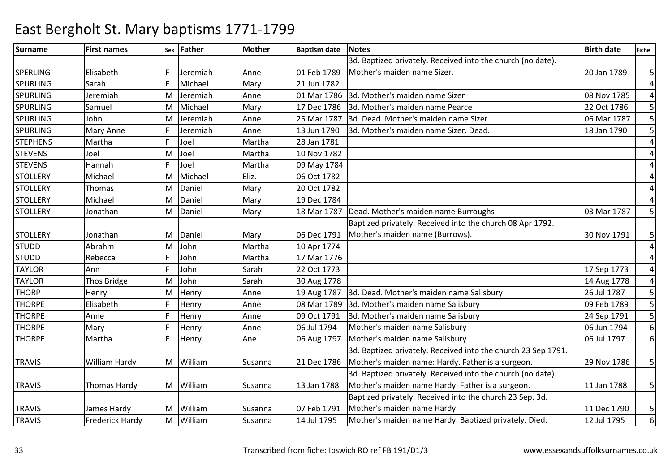| Surname         | <b>First names</b>     |   | sex Father | <b>Mother</b> | <b>Baptism date</b> | <b>Notes</b>                                                  | <b>Birth date</b> | Fiche          |
|-----------------|------------------------|---|------------|---------------|---------------------|---------------------------------------------------------------|-------------------|----------------|
|                 |                        |   |            |               |                     | 3d. Baptized privately. Received into the church (no date).   |                   |                |
| <b>SPERLING</b> | Elisabeth              |   | Jeremiah   | Anne          | 01 Feb 1789         | Mother's maiden name Sizer.                                   | 20 Jan 1789       | 5 <sup>1</sup> |
| <b>SPURLING</b> | Sarah                  |   | Michael    | Mary          | 21 Jun 1782         |                                                               |                   | $\overline{4}$ |
| <b>SPURLING</b> | Jeremiah               | м | Jeremiah   | Anne          | 01 Mar 1786         | 3d. Mother's maiden name Sizer                                | 08 Nov 1785       | $\overline{4}$ |
| <b>SPURLING</b> | Samuel                 | M | Michael    | Mary          | 17 Dec 1786         | 3d. Mother's maiden name Pearce                               | 22 Oct 1786       | 5 <sup>1</sup> |
| <b>SPURLING</b> | John                   | M | Jeremiah   | Anne          | 25 Mar 1787         | 3d. Dead. Mother's maiden name Sizer                          | 06 Mar 1787       | 5 <sup>1</sup> |
| <b>SPURLING</b> | <b>Mary Anne</b>       |   | Jeremiah   | Anne          | 13 Jun 1790         | 3d. Mother's maiden name Sizer. Dead.                         | 18 Jan 1790       | 5              |
| <b>STEPHENS</b> | Martha                 |   | Joel       | Martha        | 28 Jan 1781         |                                                               |                   | $\overline{4}$ |
| <b>STEVENS</b>  | Joel                   | M | Joel       | Martha        | 10 Nov 1782         |                                                               |                   | $\overline{4}$ |
| <b>STEVENS</b>  | Hannah                 |   | Joel       | Martha        | 09 May 1784         |                                                               |                   | 4              |
| <b>STOLLERY</b> | Michael                | M | Michael    | Eliz.         | 06 Oct 1782         |                                                               |                   | 4              |
| <b>STOLLERY</b> | Thomas                 | M | Daniel     | Mary          | 20 Oct 1782         |                                                               |                   | 4              |
| <b>STOLLERY</b> | Michael                | M | Daniel     | Mary          | 19 Dec 1784         |                                                               |                   | $\overline{4}$ |
| <b>STOLLERY</b> | Jonathan               | M | Daniel     | Mary          | 18 Mar 1787         | Dead. Mother's maiden name Burroughs                          | 03 Mar 1787       | 5 <sup>1</sup> |
|                 |                        |   |            |               |                     | Baptized privately. Received into the church 08 Apr 1792.     |                   |                |
| <b>STOLLERY</b> | Jonathan               | M | Daniel     | Mary          | 06 Dec 1791         | Mother's maiden name (Burrows).                               | 30 Nov 1791       | 5              |
| <b>STUDD</b>    | Abrahm                 | M | John       | Martha        | 10 Apr 1774         |                                                               |                   | $\overline{a}$ |
| <b>STUDD</b>    | Rebecca                |   | John       | Martha        | 17 Mar 1776         |                                                               |                   | $\overline{4}$ |
| <b>TAYLOR</b>   | Ann                    |   | John       | Sarah         | 22 Oct 1773         |                                                               | 17 Sep 1773       | $\overline{a}$ |
| <b>TAYLOR</b>   | Thos Bridge            | M | John       | Sarah         | 30 Aug 1778         |                                                               | 14 Aug 1778       | $\overline{4}$ |
| <b>THORP</b>    | Henry                  | М | Henry      | Anne          | 19 Aug 1787         | 3d. Dead. Mother's maiden name Salisbury                      | 26 Jul 1787       | 5 <sup>1</sup> |
| <b>THORPE</b>   | Elisabeth              |   | Henry      | Anne          | 08 Mar 1789         | 3d. Mother's maiden name Salisbury                            | 09 Feb 1789       | 5 <sup>1</sup> |
| <b>THORPE</b>   | Anne                   |   | Henry      | Anne          | 09 Oct 1791         | 3d. Mother's maiden name Salisbury                            | 24 Sep 1791       | 5 <sup>1</sup> |
| <b>THORPE</b>   | Mary                   |   | Henry      | Anne          | 06 Jul 1794         | Mother's maiden name Salisbury                                | 06 Jun 1794       | 6 <sup>1</sup> |
| <b>THORPE</b>   | Martha                 |   | Henry      | Ane           | 06 Aug 1797         | Mother's maiden name Salisbury                                | 06 Jul 1797       | $6 \mid$       |
|                 |                        |   |            |               |                     | 3d. Baptized privately. Received into the church 23 Sep 1791. |                   |                |
| <b>TRAVIS</b>   | William Hardy          |   | M William  | Susanna       | 21 Dec 1786         | Mother's maiden name: Hardy. Father is a surgeon.             | 29 Nov 1786       | 5 <sup>1</sup> |
|                 |                        |   |            |               |                     | 3d. Baptized privately. Received into the church (no date).   |                   |                |
| <b>TRAVIS</b>   | Thomas Hardy           | M | William    | Susanna       | 13 Jan 1788         | Mother's maiden name Hardy. Father is a surgeon.              | 11 Jan 1788       | 5 <sup>1</sup> |
|                 |                        |   |            |               |                     | Baptized privately. Received into the church 23 Sep. 3d.      |                   |                |
| <b>TRAVIS</b>   | James Hardy            | M | William    | Susanna       | 07 Feb 1791         | Mother's maiden name Hardy.                                   | 11 Dec 1790       | 5 <sup>1</sup> |
| <b>TRAVIS</b>   | <b>Frederick Hardy</b> | M | William    | Susanna       | 14 Jul 1795         | Mother's maiden name Hardy. Baptized privately. Died.         | 12 Jul 1795       | 6 <sup>1</sup> |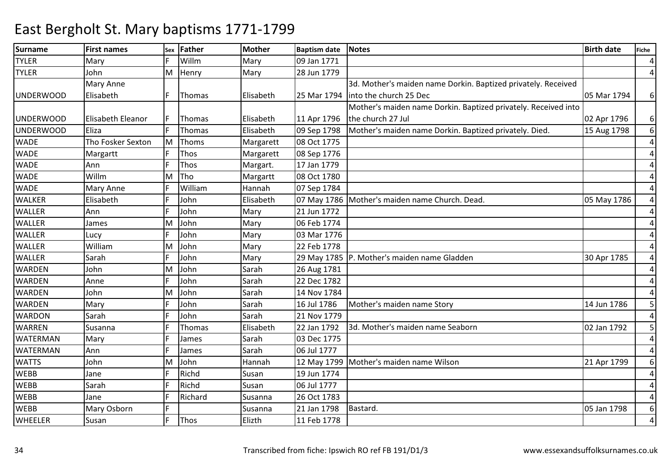| <b>Surname</b>   | <b>First names</b>       | Sex | Father  | <b>Mother</b> | <b>Baptism date</b> | <b>Notes</b>                                                   | <b>Birth date</b> | <b>Fiche</b>   |
|------------------|--------------------------|-----|---------|---------------|---------------------|----------------------------------------------------------------|-------------------|----------------|
| <b>TYLER</b>     | Mary                     |     | Willm   | Mary          | 09 Jan 1771         |                                                                |                   | $\overline{4}$ |
| <b>TYLER</b>     | John                     | M   | Henry   | Mary          | 28 Jun 1779         |                                                                |                   | $\overline{a}$ |
|                  | <b>Mary Anne</b>         |     |         |               |                     | 3d. Mother's maiden name Dorkin. Baptized privately. Received  |                   |                |
| <b>UNDERWOOD</b> | Elisabeth                |     | Thomas  | Elisabeth     | 25 Mar 1794         | into the church 25 Dec                                         | 05 Mar 1794       | $6 \mid$       |
|                  |                          |     |         |               |                     | Mother's maiden name Dorkin. Baptized privately. Received into |                   |                |
| <b>UNDERWOOD</b> | <b>Elisabeth Eleanor</b> |     | Thomas  | Elisabeth     | 11 Apr 1796         | the church 27 Jul                                              | 02 Apr 1796       | $6 \mid$       |
| UNDERWOOD        | Eliza                    |     | Thomas  | Elisabeth     | 09 Sep 1798         | Mother's maiden name Dorkin. Baptized privately. Died.         | 15 Aug 1798       | $6 \mid$       |
| <b>WADE</b>      | Tho Fosker Sexton        | M   | Thoms   | Margarett     | 08 Oct 1775         |                                                                |                   | $\overline{4}$ |
| <b>WADE</b>      | Margartt                 | F   | Thos    | Margarett     | 08 Sep 1776         |                                                                |                   | $\overline{a}$ |
| <b>WADE</b>      | Ann                      |     | Thos    | Margart.      | 17 Jan 1779         |                                                                |                   | 4              |
| <b>WADE</b>      | Willm                    | M   | Tho     | Margartt      | 08 Oct 1780         |                                                                |                   | 4              |
| <b>WADE</b>      | Mary Anne                |     | William | Hannah        | 07 Sep 1784         |                                                                |                   | 4              |
| <b>WALKER</b>    | Elisabeth                |     | John    | Elisabeth     |                     | 07 May 1786   Mother's maiden name Church. Dead.               | 05 May 1786       | $\overline{4}$ |
| <b>WALLER</b>    | Ann                      |     | John    | Mary          | 21 Jun 1772         |                                                                |                   | 4              |
| <b>WALLER</b>    | James                    | Μ   | John    | Mary          | 06 Feb 1774         |                                                                |                   | 4              |
| <b>WALLER</b>    | Lucy                     |     | John    | Mary          | 03 Mar 1776         |                                                                |                   | 4              |
| <b>WALLER</b>    | William                  | M   | John    | Mary          | 22 Feb 1778         |                                                                |                   | $\overline{4}$ |
| <b>WALLER</b>    | Sarah                    |     | John    | Mary          |                     | 29 May 1785   P. Mother's maiden name Gladden                  | 30 Apr 1785       | 4              |
| <b>WARDEN</b>    | John                     | M   | John    | Sarah         | 26 Aug 1781         |                                                                |                   | 4              |
| <b>WARDEN</b>    | Anne                     |     | John    | Sarah         | 22 Dec 1782         |                                                                |                   | $\overline{4}$ |
| <b>WARDEN</b>    | John                     | M   | John    | Sarah         | 14 Nov 1784         |                                                                |                   | $\overline{4}$ |
| <b>WARDEN</b>    | Mary                     |     | John    | Sarah         | 16 Jul 1786         | Mother's maiden name Story                                     | 14 Jun 1786       | 5              |
| <b>WARDON</b>    | Sarah                    |     | John    | Sarah         | 21 Nov 1779         |                                                                |                   | 4              |
| <b>WARREN</b>    | Susanna                  |     | Thomas  | Elisabeth     | 22 Jan 1792         | 3d. Mother's maiden name Seaborn                               | 02 Jan 1792       | 5              |
| <b>WATERMAN</b>  | Mary                     |     | James   | Sarah         | 03 Dec 1775         |                                                                |                   | $\overline{a}$ |
| <b>WATERMAN</b>  | Ann                      |     | James   | Sarah         | 06 Jul 1777         |                                                                |                   | $\overline{4}$ |
| <b>WATTS</b>     | John                     | M   | John    | Hannah        |                     | 12 May 1799   Mother's maiden name Wilson                      | 21 Apr 1799       | 6              |
| <b>WEBB</b>      | Jane                     |     | Richd   | Susan         | 19 Jun 1774         |                                                                |                   | $\overline{4}$ |
| <b>WEBB</b>      | Sarah                    |     | Richd   | Susan         | 06 Jul 1777         |                                                                |                   | 4              |
| <b>WEBB</b>      | Jane                     |     | Richard | Susanna       | 26 Oct 1783         |                                                                |                   | 4              |
| <b>WEBB</b>      | Mary Osborn              |     |         | Susanna       | 21 Jan 1798         | Bastard.                                                       | 05 Jan 1798       | 6              |
| <b>WHEELER</b>   | Susan                    |     | Thos    | Elizth        | 11 Feb 1778         |                                                                |                   | $\overline{4}$ |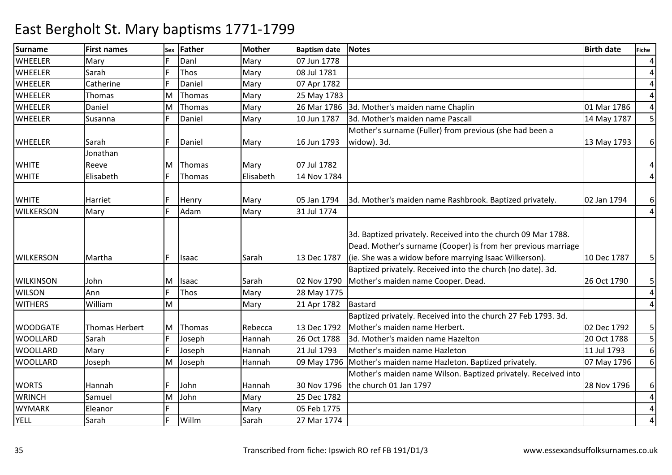| <b>Surname</b>   | <b>First names</b>    | Sex | <b>Father</b> | <b>Mother</b> | <b>Baptism date</b> | <b>Notes</b>                                                     | <b>Birth date</b> | <b>Fiche</b>   |
|------------------|-----------------------|-----|---------------|---------------|---------------------|------------------------------------------------------------------|-------------------|----------------|
| <b>WHEELER</b>   | Mary                  |     | Danl          | Mary          | 07 Jun 1778         |                                                                  |                   | $\overline{4}$ |
| <b>WHEELER</b>   | Sarah                 |     | Thos          | Mary          | 08 Jul 1781         |                                                                  |                   | 4              |
| <b>WHEELER</b>   | Catherine             |     | Daniel        | Mary          | 07 Apr 1782         |                                                                  |                   | $\overline{4}$ |
| <b>WHEELER</b>   | Thomas                | M   | Thomas        | Mary          | 25 May 1783         |                                                                  |                   | $\overline{4}$ |
| <b>WHEELER</b>   | Daniel                | M   | Thomas        | Mary          |                     | 26 Mar 1786 3d. Mother's maiden name Chaplin                     | 01 Mar 1786       | $\overline{4}$ |
| <b>WHEELER</b>   | Susanna               |     | Daniel        | Mary          | 10 Jun 1787         | 3d. Mother's maiden name Pascall                                 | 14 May 1787       | 5 <sup>1</sup> |
|                  |                       |     |               |               |                     | Mother's surname (Fuller) from previous (she had been a          |                   |                |
| <b>WHEELER</b>   | Sarah                 |     | Daniel        | Mary          | 16 Jun 1793         | widow). 3d.                                                      | 13 May 1793       | 6 <sup>1</sup> |
|                  | Jonathan              |     |               |               |                     |                                                                  |                   |                |
| <b>WHITE</b>     | Reeve                 | M   | Thomas        | Mary          | 07 Jul 1782         |                                                                  |                   | $\overline{4}$ |
| <b>WHITE</b>     | Elisabeth             |     | Thomas        | Elisabeth     | 14 Nov 1784         |                                                                  |                   | $\overline{a}$ |
|                  |                       |     |               |               |                     |                                                                  |                   |                |
| <b>WHITE</b>     | Harriet               |     | Henry         | Mary          | 05 Jan 1794         | 3d. Mother's maiden name Rashbrook. Baptized privately.          | 02 Jan 1794       | $6 \mid$       |
| <b>WILKERSON</b> | Mary                  |     | Adam          | Mary          | 31 Jul 1774         |                                                                  |                   | 4 <sup>1</sup> |
|                  |                       |     |               |               |                     |                                                                  |                   |                |
|                  |                       |     |               |               |                     | 3d. Baptized privately. Received into the church 09 Mar 1788.    |                   |                |
|                  |                       |     |               |               |                     | Dead. Mother's surname (Cooper) is from her previous marriage    |                   |                |
| <b>WILKERSON</b> | Martha                | F.  | Isaac         | Sarah         | 13 Dec 1787         | (ie. She was a widow before marrying Isaac Wilkerson).           | 10 Dec 1787       | 5 <sup>1</sup> |
|                  |                       |     |               |               |                     | Baptized privately. Received into the church (no date). 3d.      |                   |                |
| <b>WILKINSON</b> | John                  | M   | Isaac         | Sarah         | 02 Nov 1790         | Mother's maiden name Cooper. Dead.                               | 26 Oct 1790       | 5 <sup>1</sup> |
| <b>WILSON</b>    | Ann                   |     | Thos          | Mary          | 28 May 1775         |                                                                  |                   | $\vert$        |
| <b>WITHERS</b>   | William               | M   |               | Mary          | 21 Apr 1782         | <b>Bastard</b>                                                   |                   | $\overline{a}$ |
|                  |                       |     |               |               |                     | Baptized privately. Received into the church 27 Feb 1793. 3d.    |                   |                |
| <b>WOODGATE</b>  | <b>Thomas Herbert</b> | M   | Thomas        | Rebecca       | 13 Dec 1792         | Mother's maiden name Herbert.                                    | 02 Dec 1792       | 5 <sub>l</sub> |
| <b>WOOLLARD</b>  | Sarah                 |     | Joseph        | Hannah        | 26 Oct 1788         | 3d. Mother's maiden name Hazelton                                | 20 Oct 1788       | 5 <sup>1</sup> |
| <b>WOOLLARD</b>  | Mary                  | F.  | Joseph        | Hannah        | 21 Jul 1793         | Mother's maiden name Hazleton                                    | 11 Jul 1793       | 6 <sup>1</sup> |
| <b>WOOLLARD</b>  | Joseph                | M   | Joseph        | Hannah        |                     | 09 May 1796   Mother's maiden name Hazleton. Baptized privately. | 07 May 1796       | $6 \mid$       |
|                  |                       |     |               |               |                     | Mother's maiden name Wilson. Baptized privately. Received into   |                   |                |
| <b>WORTS</b>     | Hannah                |     | John          | Hannah        | 30 Nov 1796         | the church 01 Jan 1797                                           | 28 Nov 1796       | $6 \mid$       |
| <b>WRINCH</b>    | Samuel                | M   | John          | Mary          | 25 Dec 1782         |                                                                  |                   | $\overline{4}$ |
| <b>WYMARK</b>    | Eleanor               | E.  |               | Mary          | 05 Feb 1775         |                                                                  |                   | $\overline{a}$ |
| <b>YELL</b>      | Sarah                 | F.  | Willm         | Sarah         | 27 Mar 1774         |                                                                  |                   | 4              |